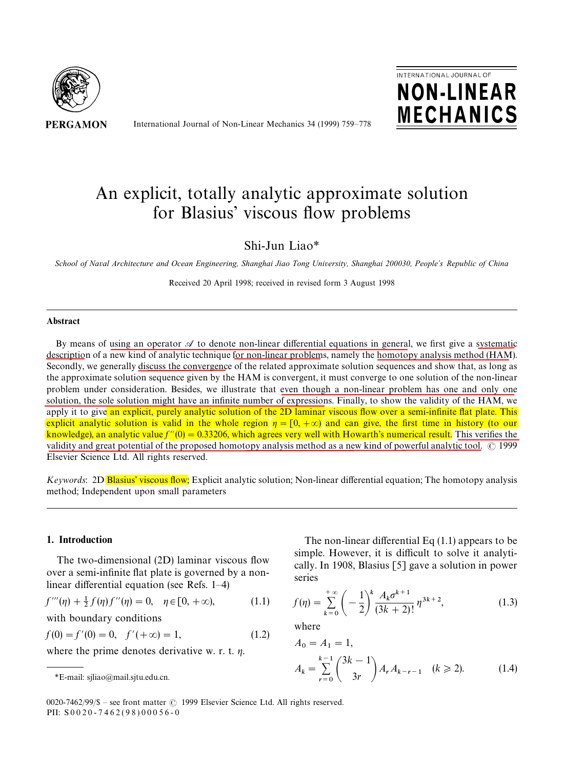

International Journal of Non-Linear Mechanics 34 (1999) 759*—*778



# An explicit, totally analytic approximate solution for Blasius' viscous flow problems

## Shi-Jun Liao*\**

*School of Naval Architecture and Ocean Engineering, Shanghai Jiao Tong University, Shanghai 200030, People*+*s Republic of China*

Received 20 April 1998; received in revised form 3 August 1998

#### **Abstract**

By means of using an operator  $\mathscr A$  to denote non-linear differential equations in general, we first give a systematic description of a new kind of analytic technique for non-linear problems, namely the homotopy analysis method (HAM). Secondly, we generally discuss the convergence of the related approximate solution sequences and show that, as long as the approximate solution sequence given by the HAM is convergent, it must converge to one solution of the non-linear problem under consideration. Besides, we illustrate that even though a non-linear problem has one and only one solution, the sole solution might have an infinite number of expressions. Finally, to show the validity of the HAM, we apply it to give an explicit, purely analytic solution of the 2D laminar viscous flow over a semi-infinite flat plate. This explicit analytic solution is valid in the whole region  $\eta = [0, +\infty)$  and can give, the first time in history (to our **knowledge), an analytic value**  $f''(0) = 0.33206$ **, which agrees very well with Howarth's numerical result.** This verifies the validity and great potential of the proposed homotopy analysis method as a new kind of powerful analytic tool.  $\odot$  1999 Elsevier Science Ltd. All rights reserved.

*Keywords*: 2D Blasius' viscous flow; Explicit analytic solution; Non-linear differential equation; The homotopy analysis method; Independent upon small parameters

#### 1. Introduction

The two-dimensional (2D) laminar viscous flow over a semi-infinite flat plate is governed by a nonlinear differential equation (see Refs. 1*—*4)

$$
f'''(\eta) + \frac{1}{2} f(\eta) f''(\eta) = 0, \quad \eta \in [0, +\infty), \tag{1.1}
$$

with boundary conditions

 $f(0) = f'(0) = 0, \quad f'(+\infty) = 1,$  (1.2)

where the prime denotes derivative w. r. t.  $\eta$ .

The non-linear differential Eq (1.1) appears to be simple. However, it is difficult to solve it analytically. In 1908, Blasius [5] gave a solution in power series

$$
f(\eta) = \sum_{k=0}^{+\infty} \left( -\frac{1}{2} \right)^k \frac{A_k \sigma^{k+1}}{(3k+2)!} \eta^{3k+2}, \tag{1.3}
$$

where

$$
A_0 = A_1 = 1,
$$
  
\n
$$
A_k = \sum_{r=0}^{k-1} {3k - 1 \choose 3r} A_r A_{k-r-1} \quad (k \ge 2).
$$
 (1.4)

0020-7462/99/\$ – see front matter  $\odot$  1999 Elsevier Science Ltd. All rights reserved. PII: S 0 0 2 0 - 7 4 6 2 ( 9 8 ) 0 0 0 5 6 - 0

*<sup>\*</sup>*E-mail: sjliao@mail.sjtu.edu.cn.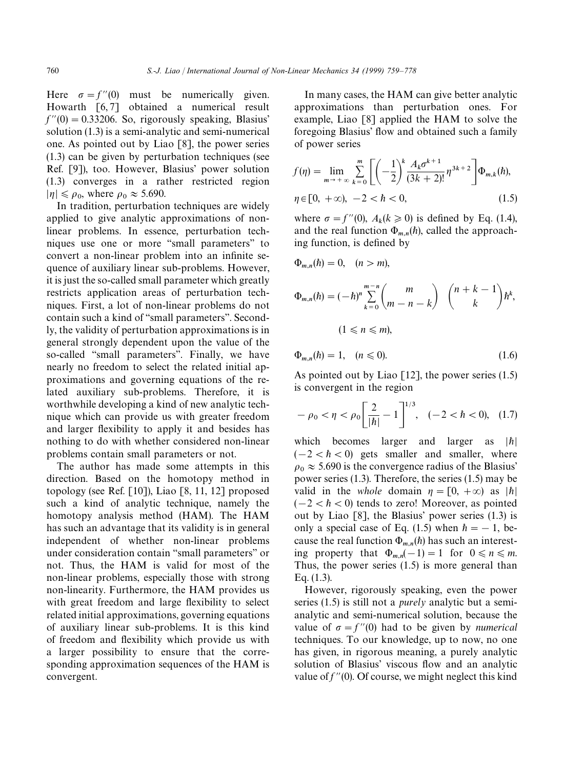Here  $\sigma = f''(0)$  must be numerically given. Howarth [6, 7] obtained a numerical result  $f''(0) = 0.33206$ . So, rigorously speaking, Blasius' solution (1.3) is a semi-analytic and semi-numerical one. As pointed out by Liao [8], the power series (1.3) can be given by perturbation techniques (see Ref. [9]), too. However, Blasius' power solution (1.3) converges in a rather restricted region  $|\eta| \le \rho_0$ , where  $\rho_0 \approx 5.690$ .

In tradition, perturbation techniques are widely applied to give analytic approximations of nonlinear problems. In essence, perturbation techniques use one or more ''small parameters'' to convert a non-linear problem into an infinite sequence of auxiliary linear sub-problems. However, it is just the so-called small parameter which greatly restricts application areas of perturbation techniques. First, a lot of non-linear problems do not contain such a kind of ''small parameters''. Secondly, the validity of perturbation approximations is in general strongly dependent upon the value of the so-called ''small parameters''. Finally, we have nearly no freedom to select the related initial approximations and governing equations of the related auxiliary sub-problems. Therefore, it is worthwhile developing a kind of new analytic technique which can provide us with greater freedom and larger flexibility to apply it and besides has nothing to do with whether considered non-linear problems contain small parameters or not.

The author has made some attempts in this direction. Based on the homotopy method in topology (see Ref. [10]), Liao [8, 11, 12] proposed such a kind of analytic technique, namely the homotopy analysis method (HAM). The HAM has such an advantage that its validity is in general independent of whether non-linear problems under consideration contain ''small parameters'' or not. Thus, the HAM is valid for most of the non-linear problems, especially those with strong non-linearity. Furthermore, the HAM provides us with great freedom and large flexibility to select related initial approximations, governing equations of auxiliary linear sub-problems. It is this kind of freedom and flexibility which provide us with a larger possibility to ensure that the corresponding approximation sequences of the HAM is convergent.

In many cases, the HAM can give better analytic approximations than perturbation ones. For example, Liao [8] applied the HAM to solve the foregoing Blasius' flow and obtained such a family of power series

$$
f(\eta) = \lim_{m \to +\infty} \sum_{k=0}^{m} \left[ \left( -\frac{1}{2} \right)^{k} \frac{A_{k} \sigma^{k+1}}{(3k+2)!} \eta^{3k+2} \right] \Phi_{m,k}(\hbar),
$$
  
\n
$$
\eta \in [0, +\infty), -2 < \hbar < 0,
$$
\n(1.5)

where  $\sigma = f''(0)$ ,  $A_k(k \ge 0)$  is defined by Eq. (1.4), and the real function  $\Phi_{m,n}(\hbar)$ , called the approaching function, is defined by

$$
\Phi_{m,n}(h) = 0, \quad (n > m),
$$
\n
$$
\Phi_{m,n}(h) = (-h)^n \sum_{k=0}^{m-n} \binom{m}{m-n-k} \binom{n+k-1}{k} h^k,
$$
\n
$$
(1 \leq n \leq m),
$$

$$
\Phi_{m,n}(h) = 1, \quad (n \le 0). \tag{1.6}
$$

As pointed out by Liao  $[12]$ , the power series  $(1.5)$ is convergent in the region

$$
-\rho_0 < \eta < \rho_0 \left[ \frac{2}{|\hbar|} - 1 \right]^{1/3}, \quad (-2 < \hbar < 0), \quad (1.7)
$$

which becomes larger and larger as  $|h|$  $(-2 < h < 0)$  gets smaller and smaller, where  $\rho_0 \approx 5.690$  is the convergence radius of the Blasius' power series (1.3). Therefore, the series (1.5) may be valid in the *whole* domain  $\eta = [0, +\infty)$  as  $|\hbar|$  $(-2 < h < 0)$  tends to zero! Moreover, as pointed out by Liao [8], the Blasius' power series (1.3) is only a special case of Eq. (1.5) when  $\hbar = -1$ , because the real function  $\Phi_{m,n}(h)$  has such an interesting property that  $\Phi_{m,n}(-1) = 1$  for  $0 \le n \le m$ . Thus, the power series (1.5) is more general than Eq. (1.3).

However, rigorously speaking, even the power series (1.5) is still not a *purely* analytic but a semianalytic and semi-numerical solution, because the value of  $\sigma = f''(0)$  had to be given by *numerical* techniques. To our knowledge, up to now, no one has given, in rigorous meaning, a purely analytic solution of Blasius' viscous flow and an analytic value of  $f''(0)$ . Of course, we might neglect this kind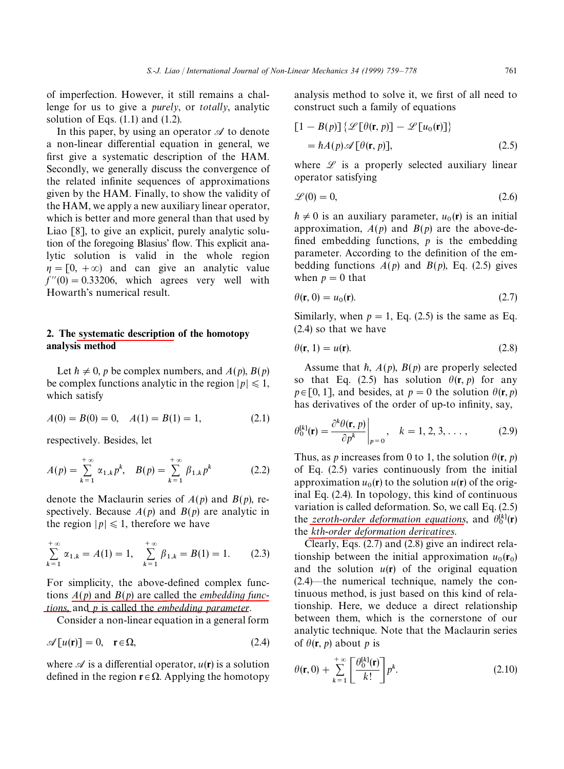of imperfection. However, it still remains a challenge for us to give a *purely*, or *totally*, analytic solution of Eqs.  $(1.1)$  and  $(1.2)$ .

In this paper, by using an operator  $\mathscr A$  to denote a non-linear differential equation in general, we first give a systematic description of the HAM. Secondly, we generally discuss the convergence of the related infinite sequences of approximations given by the HAM. Finally, to show the validity of the HAM, we apply a new auxiliary linear operator, which is better and more general than that used by Liao [8], to give an explicit, purely analytic solution of the foregoing Blasius' flow. This explicit analytic solution is valid in the whole region  $\eta = [0, +\infty)$  and can give an analytic value  $f''(0) = 0.33206$ , which agrees very well with Howarth's numerical result.

#### 2. The systematic description of the homotopy analysis method

Let  $h \neq 0$ , *p* be complex numbers, and  $A(p)$ ,  $B(p)$ be complex functions analytic in the region  $|p| \leq 1$ , which satisfy

$$
A(0) = B(0) = 0, \quad A(1) = B(1) = 1,
$$
\n(2.1)

respectively. Besides, let

$$
A(p) = \sum_{k=1}^{+\infty} \alpha_{1,k} p^k, \quad B(p) = \sum_{k=1}^{+\infty} \beta_{1,k} p^k \tag{2.2}
$$

denote the Maclaurin series of *A*(*p*) and *B*(*p*), respectively. Because  $A(p)$  and  $B(p)$  are analytic in the region  $|p| \leq 1$ , therefore we have

$$
\sum_{k=1}^{+\infty} \alpha_{1,k} = A(1) = 1, \quad \sum_{k=1}^{+\infty} \beta_{1,k} = B(1) = 1. \tag{2.3}
$$

For simplicity, the above-defined complex functions *A*(*p*) and *B*(*p*) are called the *embedding functions*, and *p* is called the *embedding parameter*.

Consider a non-linear equation in a general form

$$
\mathscr{A}[u(\mathbf{r})] = 0, \quad \mathbf{r} \in \Omega,
$$
\n(2.4)

where  $\mathcal A$  is a differential operator,  $u(\mathbf r)$  is a solution defined in the region  $\mathbf{r} \in \Omega$ . Applying the homotopy

analysis method to solve it, we first of all need to construct such a family of equations

$$
[1 - B(p)] \{ \mathcal{L}[\theta(\mathbf{r}, p)] - \mathcal{L}[u_0(\mathbf{r})] \}
$$
  
=  $\hbar A(p) \mathcal{A}[\theta(\mathbf{r}, p)],$  (2.5)

where  $\mathscr L$  is a properly selected auxiliary linear operator satisfying

$$
\mathcal{L}(0) = 0,\tag{2.6}
$$

 $h \neq 0$  is an auxiliary parameter,  $u_0(\mathbf{r})$  is an initial  $n \neq 0$  is an auxiliary parameter,  $u_0(t)$  is an initial<br>approximation,  $A(p)$  and  $B(p)$  are the above-defined embedding functions,  $\vec{p}$  is the embedding parameter. According to the definition of the embedding functions  $A(p)$  and  $B(p)$ , Eq. (2.5) gives when  $p = 0$  that

$$
\theta(\mathbf{r},0) = u_0(\mathbf{r}).\tag{2.7}
$$

Similarly, when  $p = 1$ , Eq. (2.5) is the same as Eq. (2.4) so that we have

$$
\theta(\mathbf{r}, 1) = u(\mathbf{r}).\tag{2.8}
$$

Assume that  $\hbar$ ,  $A(p)$ ,  $B(p)$  are properly selected so that Eq. (2.5) has solution  $\theta(\mathbf{r}, p)$  for any  $p \in [0, 1]$ , and besides, at  $p = 0$  the solution  $\theta(\mathbf{r}, p)$ has derivatives of the order of up-to infinity, say,

$$
\theta_0^{[k]}(\mathbf{r}) = \frac{\partial^k \theta(\mathbf{r}, p)}{\partial p^k}\bigg|_{p=0}, \quad k = 1, 2, 3, \dots,
$$
 (2.9)

Thus, as *p* increases from 0 to 1, the solution  $\theta(\mathbf{r}, p)$ of Eq. (2.5) varies continuously from the initial approximation  $u_0(\mathbf{r})$  to the solution  $u(\mathbf{r})$  of the origapproximation  $u_0(t)$  to the solution  $u(t)$  of the original Eq. (2.4). In topology, this kind of continuous variation is called deformation. So, we call Eq. (2.5) the *zeroth-order deformation equations*, and  $\theta_0^{[k]}(\mathbf{r})$ the *kth*-*order deformation derivatives*.

Clearly, Eqs. (2.7) and (2.8) give an indirect relationship between the initial approximation  $u_0(\mathbf{r}_0)$ tionship between the initial approximation  $u_0(t_0)$ <br>and the solution  $u(r)$  of the original equation (2.4)—the numerical technique, namely the continuous method, is just based on this kind of relationship. Here, we deduce a direct relationship between them, which is the cornerstone of our analytic technique. Note that the Maclaurin series of  $\theta(\mathbf{r}, p)$  about *p* is

$$
\theta(\mathbf{r},0) + \sum_{k=1}^{+\infty} \left[ \frac{\theta_0^{[k]}(\mathbf{r})}{k!} \right] p^k.
$$
 (2.10)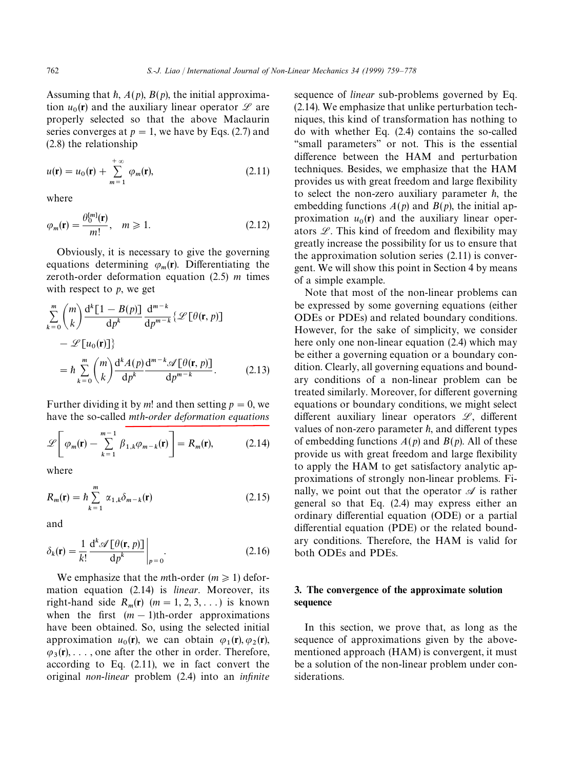Assuming that  $\hbar$ ,  $A(p)$ ,  $B(p)$ , the initial approximation  $u_0$ (**r**) and the auxiliary linear operator  $\mathscr L$  are  $\lim_{\theta_0}(t)$  and the auxiliary inteat operator  $\overline{z}$  are<br>properly selected so that the above Maclaurin series converges at  $p = 1$ , we have by Eqs. (2.7) and (2.8) the relationship

$$
u(\mathbf{r}) = u_0(\mathbf{r}) + \sum_{m=1}^{+\infty} \varphi_m(\mathbf{r}),
$$
 (2.11)

where

$$
\varphi_m(\mathbf{r}) = \frac{\theta_0^{[m]}(\mathbf{r})}{m!}, \quad m \ge 1.
$$
\n(2.12)

Obviously, it is necessary to give the governing equations determining  $\varphi_m(\mathbf{r})$ . Differentiating the zeroth-order deformation equation (2.5) *m* times with respect to *p*, we get

$$
\sum_{k=0}^{m} {m \choose k} \frac{d^{k} [1 - B(p)]}{dp^{k}} \frac{d^{m-k}}{dp^{m-k}} \{ \mathcal{L} [\theta(\mathbf{r}, p)]
$$

$$
- \mathcal{L} [u_0(\mathbf{r})] \}
$$

$$
= \hbar \sum_{k=0}^{m} {m \choose k} \frac{d^{k} A(p)}{dp^{k}} \frac{d^{m-k} \mathcal{L} [\theta(\mathbf{r}, p)]}{dp^{m-k}}.
$$
(2.13)

Further dividing it by *m*! and then setting  $p = 0$ , we have the so-called *mth*-*order deformation equations*

$$
\mathscr{L}\left[\varphi_m(\mathbf{r}) - \sum_{k=1}^{m-1} \beta_{1,k} \varphi_{m-k}(\mathbf{r})\right] = R_m(\mathbf{r}),\tag{2.14}
$$

where

$$
R_m(\mathbf{r}) = \hbar \sum_{k=1}^{m} \alpha_{1,k} \delta_{m-k}(\mathbf{r})
$$
 (2.15)

and

$$
\delta_k(\mathbf{r}) = \frac{1}{k!} \frac{\mathrm{d}^k \mathscr{A} \left[ \theta(\mathbf{r}, p) \right]}{\mathrm{d} p^k} \bigg|_{p=0}.
$$
 (2.16)

We emphasize that the *m*th-order ( $m \ge 1$ ) deformation equation (2.14) is *linear*. Moreover, its right-hand side  $R_m(r)$  ( $m = 1, 2, 3, ...$ ) is known when the first  $(m - 1)$ th-order approximations have been obtained. So, using the selected initial approximation  $u_0(\mathbf{r})$ , we can obtain  $\varphi_1(\mathbf{r}), \varphi_2(\mathbf{r})$ , approximation  $u_0(t)$ , we can obtain  $\varphi_1(t), \varphi_2(t)$ ,<br> $\varphi_3(t), \ldots$ , one after the other in order. Therefore, according to Eq. (2.11), we in fact convert the original *non*-*linear* problem (2.4) into an *infinite* sequence of *linear* sub-problems governed by Eq. (2.14). We emphasize that unlike perturbation techniques, this kind of transformation has nothing to do with whether Eq. (2.4) contains the so-called "small parameters" or not. This is the essential difference between the HAM and perturbation techniques. Besides, we emphasize that the HAM provides us with great freedom and large flexibility to select the non-zero auxiliary parameter  $\hbar$ , the embedding functions  $A(p)$  and  $B(p)$ , the initial approximation  $u_0(r)$  and the auxiliary linear operproximation  $u_0(t)$  and the auxinary intear oper-<br>ators  $\mathcal{L}$ . This kind of freedom and flexibility may greatly increase the possibility for us to ensure that the approximation solution series (2.11) is convergent. We will show this point in Section 4 by means of a simple example.

Note that most of the non-linear problems can be expressed by some governing equations (either ODEs or PDEs) and related boundary conditions. However, for the sake of simplicity, we consider here only one non-linear equation (2.4) which may be either a governing equation or a boundary condition. Clearly, all governing equations and boundary conditions of a non-linear problem can be treated similarly. Moreover, for different governing equations or boundary conditions, we might select different auxiliary linear operators  $\mathscr{L}$ , different values of non-zero parameter  $\hbar$ , and different types of embedding functions  $A(p)$  and  $B(p)$ . All of these provide us with great freedom and large flexibility to apply the HAM to get satisfactory analytic approximations of strongly non-linear problems. Finally, we point out that the operator  $\mathscr A$  is rather general so that Eq. (2.4) may express either an ordinary differential equation (ODE) or a partial differential equation (PDE) or the related boundary conditions. Therefore, the HAM is valid for both ODEs and PDEs.

### 3. The convergence of the approximate solution sequence

In this section, we prove that, as long as the sequence of approximations given by the abovementioned approach (HAM) is convergent, it must be a solution of the non-linear problem under considerations.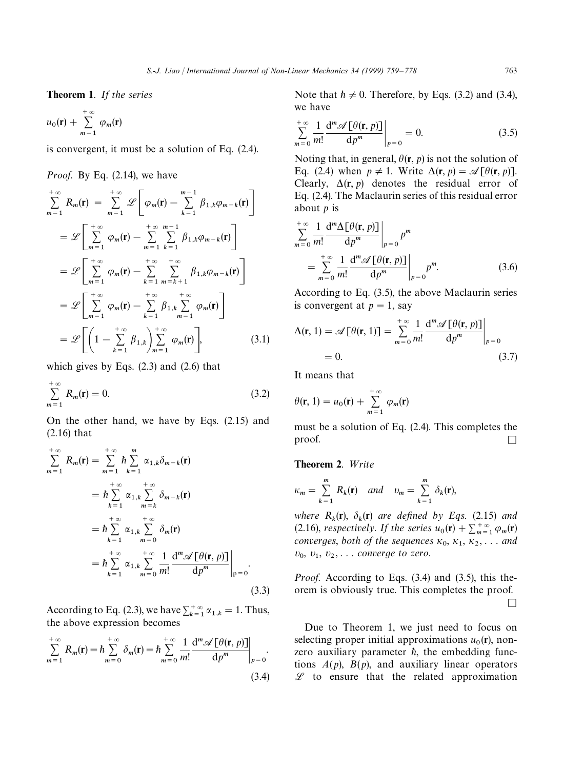Theorem 1. *If the series*

$$
u_0(\mathbf{r}) + \sum_{m=1}^{+\infty} \varphi_m(\mathbf{r})
$$

is convergent, it must be a solution of Eq. (2.4).

#### *Proof*. By Eq. (2.14), we have

$$
\sum_{m=1}^{+\infty} R_m(\mathbf{r}) = \sum_{m=1}^{+\infty} \mathcal{L} \left[ \varphi_m(\mathbf{r}) - \sum_{k=1}^{m-1} \beta_{1,k} \varphi_{m-k}(\mathbf{r}) \right]
$$
  
\n
$$
= \mathcal{L} \left[ \sum_{m=1}^{+\infty} \varphi_m(\mathbf{r}) - \sum_{m=1}^{+\infty} \sum_{k=1}^{m-1} \beta_{1,k} \varphi_{m-k}(\mathbf{r}) \right]
$$
  
\n
$$
= \mathcal{L} \left[ \sum_{m=1}^{+\infty} \varphi_m(\mathbf{r}) - \sum_{k=1}^{+\infty} \sum_{m=k+1}^{+\infty} \beta_{1,k} \varphi_{m-k}(\mathbf{r}) \right]
$$
  
\n
$$
= \mathcal{L} \left[ \sum_{m=1}^{+\infty} \varphi_m(\mathbf{r}) - \sum_{k=1}^{+\infty} \beta_{1,k} \sum_{m=1}^{+\infty} \varphi_m(\mathbf{r}) \right]
$$
  
\n
$$
= \mathcal{L} \left[ \left( 1 - \sum_{k=1}^{+\infty} \beta_{1,k} \right) \sum_{m=1}^{+\infty} \varphi_m(\mathbf{r}) \right], \qquad (3.1)
$$

which gives by Eqs. (2.3) and (2.6) that

$$
\sum_{m=1}^{+\infty} R_m(\mathbf{r}) = 0.
$$
 (3.2)

On the other hand, we have by Eqs. (2.15) and (2.16) that

$$
\sum_{m=1}^{+\infty} R_m(\mathbf{r}) = \sum_{m=1}^{+\infty} h \sum_{k=1}^{m} \alpha_{1,k} \delta_{m-k}(\mathbf{r})
$$
  
\n
$$
= h \sum_{k=1}^{+\infty} \alpha_{1,k} \sum_{m=k}^{+\infty} \delta_{m-k}(\mathbf{r})
$$
  
\n
$$
= h \sum_{k=1}^{+\infty} \alpha_{1,k} \sum_{m=0}^{+\infty} \delta_m(\mathbf{r})
$$
  
\n
$$
= h \sum_{k=1}^{+\infty} \alpha_{1,k} \sum_{m=0}^{+\infty} \frac{1}{m!} \frac{d^m \mathscr{A} [\theta(\mathbf{r}, p)]}{dp^m} \Big|_{p=0}.
$$
  
\n(3.3)

According to Eq. (2.3), we have  $\sum_{k=1}^{+\infty} \alpha_{1,k} = 1$ . Thus, the above expression becomes

$$
\sum_{m=1}^{+\infty} R_m(\mathbf{r}) = \hbar \sum_{m=0}^{+\infty} \delta_m(\mathbf{r}) = \hbar \sum_{m=0}^{+\infty} \frac{1}{m!} \frac{d^m \mathscr{A} \left[ \theta(\mathbf{r}, p) \right]}{dp^m} \bigg|_{p=0}.
$$
\n(3.4)

Note that  $h \neq 0$ . Therefore, by Eqs. (3.2) and (3.4), we have

$$
\sum_{m=0}^{+\infty} \frac{1}{m!} \frac{d^m \mathscr{A} \left[ \theta(\mathbf{r}, p) \right]}{dp^m} \bigg|_{p=0} = 0. \tag{3.5}
$$

Noting that, in general,  $\theta(\mathbf{r}, p)$  is not the solution of Eq. (2.4) when  $p \neq 1$ . Write  $\Delta(\mathbf{r}, p) = \mathcal{A}[\theta(\mathbf{r}, p)]$ . Clearly,  $\Delta(\mathbf{r}, p)$  denotes the residual error of Eq. (2.4). The Maclaurin series of this residual error about *p* is

$$
\sum_{m=0}^{+\infty} \frac{1}{m!} \frac{d^m \Delta[\theta(\mathbf{r}, p)]}{dp^m} \bigg|_{p=0} p^m
$$
  
= 
$$
\sum_{m=0}^{+\infty} \frac{1}{m!} \frac{d^m \mathscr{A}[\theta(\mathbf{r}, p)]}{dp^m} \bigg|_{p=0} p^m.
$$
 (3.6)

According to Eq. (3.5), the above Maclaurin series is convergent at  $p = 1$ , say

$$
\Delta(\mathbf{r}, 1) = \mathscr{A}[\theta(\mathbf{r}, 1)] = \sum_{m=0}^{+\infty} \frac{1}{m!} \frac{d^m \mathscr{A}[\theta(\mathbf{r}, p)]}{dp^m} \bigg|_{p=0}
$$
  
= 0. (3.7)

It means that

$$
\theta(\mathbf{r},1) = u_0(\mathbf{r}) + \sum_{m=1}^{+\infty} \varphi_m(\mathbf{r})
$$

must be a solution of Eq. (2.4). This completes the proof.  $\Box$ 

#### Theorem 2. Write

$$
\kappa_m = \sum_{k=1}^m R_k(\mathbf{r}) \quad and \quad \upsilon_m = \sum_{k=1}^m \delta_k(\mathbf{r}),
$$

*where*  $R_k(\mathbf{r})$ ,  $\delta_k(\mathbf{r})$  *are defined by Eqs.* (2.15) *and* (2.16), *respectively*. If the series  $u_0(\mathbf{r}) + \sum_{m=1}^{+\infty} \varphi_m(\mathbf{r})$ converges, both of the sequences  $\kappa_0, \kappa_1, \kappa_2, \ldots$  and  $v_0, v_1, v_2, \ldots$  *converge to zero.* 

*Proof*. According to Eqs. (3.4) and (3.5), this theorem is obviously true. This completes the proof.  $\Box$ 

Due to Theorem 1, we just need to focus on selecting proper initial approximations  $u_0(\mathbf{r})$ , nonzero auxiliary parameter  $\hbar$ , the embedding functions  $A(p)$ ,  $B(p)$ , and auxiliary linear operators  $L$  to ensure that the related approximation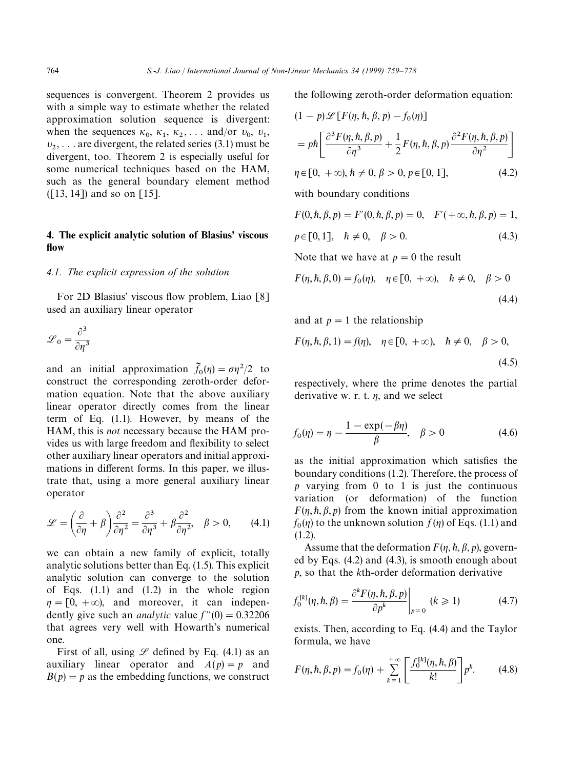sequences is convergent. Theorem 2 provides us with a simple way to estimate whether the related approximation solution sequence is divergent: when the sequences  $\kappa_0$ ,  $\kappa_1$ ,  $\kappa_2$ , ... and/or  $v_0$ ,  $v_1$ , 1,  $\frac{\kappa_2}{1}$  $v_2, \ldots$  are divergent, the related series (3.1) must be divergent, too. Theorem 2 is especially useful for some numerical techniques based on the HAM, such as the general boundary element method ([13, 14]) and so on [15].

#### 4. The explicit analytic solution of Blasius' viscous flow

#### *4.1. The explicit expression of the solution*

For 2D Blasius' viscous flow problem, Liao [8] used an auxiliary linear operator

$$
\mathcal{L}_0 = \frac{\partial^3}{\partial \eta^3}
$$

and an initial approximation  $\tilde{f}_0(\eta) = \sigma \eta^2/2$  to and an initial approximation  $f_0(\eta) = \frac{\partial \eta}{\partial z}$  to construct the corresponding zeroth-order deformation equation. Note that the above auxiliary linear operator directly comes from the linear term of Eq. (1.1). However, by means of the HAM, this is *not* necessary because the HAM provides us with large freedom and flexibility to select other auxiliary linear operators and initial approximations in different forms. In this paper, we illustrate that, using a more general auxiliary linear operator

$$
\mathcal{L} = \left(\frac{\partial}{\partial \eta} + \beta\right) \frac{\partial^2}{\partial \eta^2} = \frac{\partial^3}{\partial \eta^3} + \beta \frac{\partial^2}{\partial \eta^2}, \quad \beta > 0, \qquad (4.1)
$$

we can obtain a new family of explicit, totally analytic solutions better than Eq. (1.5). This explicit analytic solution can converge to the solution of Eqs.  $(1.1)$  and  $(1.2)$  in the whole region  $\eta = [0, +\infty)$ , and moreover, it can independently give such an *analytic* value  $f''(0) = 0.32206$ that agrees very well with Howarth's numerical one.

First of all, using  $\mathscr L$  defined by Eq. (4.1) as an auxiliary linear operator and  $A(p) = p$  and  $B(p) = p$  as the embedding functions, we construct the following zeroth-order deformation equation:

$$
(1 - p) \mathcal{L} [F(\eta, \hbar, \beta, p) - f_0(\eta)]
$$
  
=  $p \hbar \left[ \frac{\partial^3 F(\eta, \hbar, \beta, p)}{\partial \eta^3} + \frac{1}{2} F(\eta, \hbar, \beta, p) \frac{\partial^2 F(\eta, \hbar, \beta, p)}{\partial \eta^2} \right]$ 

$$
\eta \in [0, +\infty), \, \hbar \neq 0, \, \beta > 0, \, p \in [0, 1], \tag{4.2}
$$

with boundary conditions

$$
F(0, h, \beta, p) = F'(0, h, \beta, p) = 0, \quad F'(+\infty, h, \beta, p) = 1,
$$
  
\n
$$
p \in [0, 1], \quad h \neq 0, \quad \beta > 0.
$$
\n(4.3)

Note that we have at  $p = 0$  the result

$$
F(\eta, h, \beta, 0) = f_0(\eta), \quad \eta \in [0, +\infty), \quad h \neq 0, \quad \beta > 0
$$
\n(4.4)

and at  $p = 1$  the relationship

$$
F(\eta, h, \beta, 1) = f(\eta), \quad \eta \in [0, +\infty), \quad h \neq 0, \quad \beta > 0,
$$
\n(4.5)

respectively, where the prime denotes the partial derivative w. r. t.  $\eta$ , and we select

$$
f_0(\eta) = \eta - \frac{1 - \exp(-\beta \eta)}{\beta}, \quad \beta > 0
$$
 (4.6)

as the initial approximation which satisfies the boundary conditions (1.2). Therefore, the process of *p* varying from 0 to 1 is just the continuous variation (or deformation) of the function  $F(\eta, h, \beta, p)$  from the known initial approximation  $f_0(\eta)$  to the unknown solution  $f(\eta)$  of Eqs. (1.1) and  $(1.2)$ .

Assume that the deformation  $F(\eta, h, \beta, p)$ , governed by Eqs. (4.2) and (4.3), is smooth enough about *p*, so that the *k*th-order deformation derivative

$$
f_0^{[k]}(\eta, \hbar, \beta) = \frac{\partial^k F(\eta, \hbar, \beta, p)}{\partial p^k}\bigg|_{p=0} \quad (k \ge 1)
$$
 (4.7)

exists. Then, according to Eq. (4.4) and the Taylor formula, we have

$$
F(\eta, \hbar, \beta, p) = f_0(\eta) + \sum_{k=1}^{+\infty} \left[ \frac{f_0^{[k]}(\eta, \hbar, \beta)}{k!} \right] p^k.
$$
 (4.8)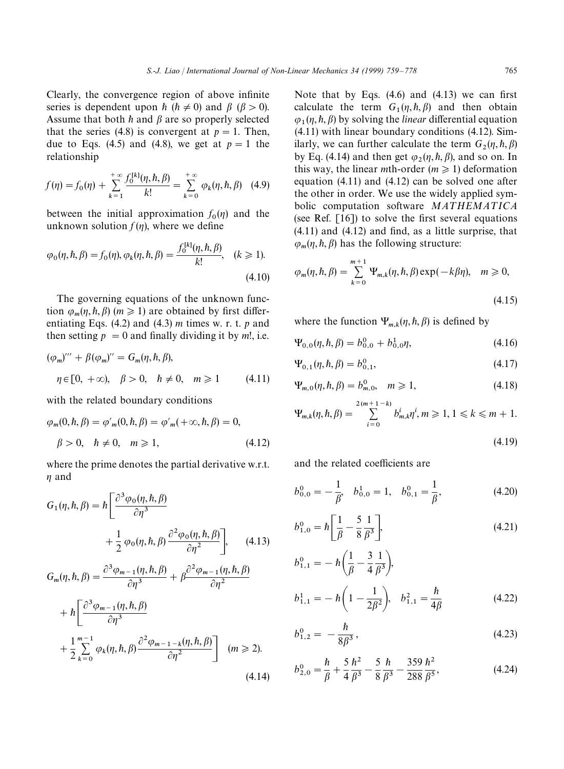Clearly, the convergence region of above infinite series is dependent upon  $\hbar$  ( $\hbar \neq 0$ ) and  $\beta$  ( $\beta > 0$ ). Assume that both  $h$  and  $\beta$  are so properly selected that the series (4.8) is convergent at  $p = 1$ . Then, due to Eqs. (4.5) and (4.8), we get at  $p = 1$  the relationship

$$
f(\eta) = f_0(\eta) + \sum_{k=1}^{+\infty} \frac{f_0^{[k]}(\eta, \hbar, \beta)}{k!} = \sum_{k=0}^{+\infty} \varphi_k(\eta, \hbar, \beta) \quad (4.9)
$$

between the initial approximation  $f_0(\eta)$  and the unknown solution  $f(\eta)$ , where we define

$$
\varphi_0(\eta, \hbar, \beta) = f_0(\eta), \varphi_k(\eta, \hbar, \beta) = \frac{f_0^{[k]}(\eta, \hbar, \beta)}{k!}, \quad (k \ge 1).
$$
\n(4.10)

The governing equations of the unknown function  $\varphi_m(\eta, \hbar, \beta)$  ( $m \ge 1$ ) are obtained by first differentiating Eqs. (4.2) and (4.3) *m* times w. r. t. *p* and then setting  $p = 0$  and finally dividing it by *m*!, i.e.

$$
(\varphi_m)''' + \beta(\varphi_m)'' = G_m(\eta, \hbar, \beta),
$$
  

$$
\eta \in [0, +\infty), \quad \beta > 0, \quad \hbar \neq 0, \quad m \ge 1
$$
 (4.11)

with the related boundary conditions

$$
\varphi_m(0, \hbar, \beta) = \varphi'_m(0, \hbar, \beta) = \varphi'_m(+\infty, \hbar, \beta) = 0,
$$
  

$$
\beta > 0, \quad \hbar \neq 0, \quad m \ge 1,
$$
 (4.12)

where the prime denotes the partial derivative w.r.t.  $n$  and

$$
G_{1}(\eta, h, \beta) = h \left[ \frac{\partial^{3} \varphi_{0}(\eta, h, \beta)}{\partial \eta^{3}} + \frac{1}{2} \varphi_{0}(\eta, h, \beta) \frac{\partial^{2} \varphi_{0}(\eta, h, \beta)}{\partial \eta^{2}} \right], \quad (4.13)
$$
  

$$
G_{m}(\eta, h, \beta) = \frac{\partial^{3} \varphi_{m-1}(\eta, h, \beta)}{\partial \eta^{3}} + \beta \frac{\partial^{2} \varphi_{m-1}(\eta, h, \beta)}{\partial \eta^{2}} + h \left[ \frac{\partial^{3} \varphi_{m-1}(\eta, h, \beta)}{\partial \eta^{3}} + \frac{1}{2} \sum_{k=0}^{m-1} \varphi_{k}(\eta, h, \beta) \frac{\partial^{2} \varphi_{m-1-k}(\eta, h, \beta)}{\partial \eta^{2}} \right] \quad (m \ge 2).
$$
  
(4.14)

Note that by Eqs. (4.6) and (4.13) we can first calculate the term  $G_1(\eta, \hbar, \beta)$  and then obtain  $\varphi_1(\eta, \hbar, \beta)$  by solving the *linear* differential equation (4.11) with linear boundary conditions (4.12). Similarly, we can further calculate the term  $G_2(\eta, \hbar, \beta)$ by Eq. (4.14) and then get  $\varphi_2(\eta, \hbar, \beta)$ , and so on. In this way, the linear *m*th-order ( $m \ge 1$ ) deformation equation (4.11) and (4.12) can be solved one after the other in order. We use the widely applied symbolic computation software **MATHEMATICA** (see Ref. [16]) to solve the first several equations (4.11) and (4.12) and find, as a little surprise, that  $\varphi_m(\eta, \hbar, \beta)$  has the following structure:

$$
\varphi_m(\eta, \hbar, \beta) = \sum_{k=0}^{m+1} \Psi_{m,k}(\eta, \hbar, \beta) \exp(-k\beta\eta), \quad m \ge 0,
$$

where the function  $\Psi_{m,k}(\eta, \hbar, \beta)$  is defined by

$$
\Psi_{0,0}(\eta,\hbar,\beta) = b_{0,0}^0 + b_{0,0}^1 \eta,\tag{4.16}
$$

$$
\Psi_{0,1}(\eta,\hbar,\beta) = b_{0,1}^0,\tag{4.17}
$$

$$
\Psi_{m,0}(\eta, \hbar, \beta) = b_{m,0}^0, \quad m \ge 1,
$$
\n(4.18)

$$
\Psi_{m,k}(\eta, h, \beta) = \sum_{i=0}^{2(m+1-k)} b_{m,k}^i \eta^i, m \geq 1, 1 \leq k \leq m+1.
$$

$$
(4.19)
$$

(4.15)

and the related coefficients are

$$
b_{0,0}^0 = -\frac{1}{\beta}, \quad b_{0,0}^1 = 1, \quad b_{0,1}^0 = \frac{1}{\beta}, \tag{4.20}
$$

$$
b_{1,0}^0 = \hbar \left[ \frac{1}{\beta} - \frac{5}{8} \frac{1}{\beta^3} \right],
$$
 (4.21)

$$
b_{1,1}^{0} = -\hbar \left( \frac{1}{\beta} - \frac{3}{4} \frac{1}{\beta^{3}} \right),
$$
  
\n
$$
b_{1,1}^{1} = -\hbar \left( 1 - \frac{1}{2\beta^{2}} \right), \quad b_{1,1}^{2} = \frac{\hbar}{4\beta}
$$
 (4.22)

$$
b_{1,2}^0 = -\frac{\hbar}{8\beta^3},\tag{4.23}
$$

$$
b_{2,0}^0 = \frac{\hbar}{\beta} + \frac{5}{4} \frac{\hbar^2}{\beta^3} - \frac{5}{8} \frac{\hbar}{\beta^3} - \frac{359}{288} \frac{\hbar^2}{\beta^5},
$$
 (4.24)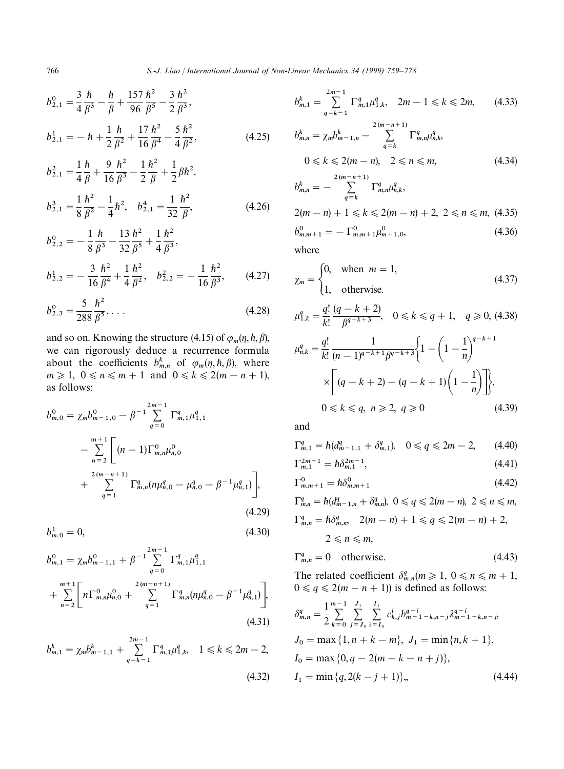$$
b_{2,1}^{0} = \frac{3}{4} \frac{\hbar}{\beta^3} - \frac{\hbar}{\beta} + \frac{157}{96} \frac{\hbar^2}{\beta^5} - \frac{3}{2} \frac{\hbar^2}{\beta^3},
$$
  
\n
$$
b_{2,1}^{1} = -\hbar + \frac{1}{2} \frac{\hbar}{\beta^2} + \frac{17}{16} \frac{\hbar^2}{\beta^4} - \frac{5}{4} \frac{\hbar^2}{\beta^2},
$$
  
\n
$$
b_{2,1}^{2} = \frac{1}{4} \frac{\hbar}{\beta} + \frac{9}{16} \frac{\hbar^2}{\beta^3} - \frac{1}{2} \frac{\hbar^2}{\beta} + \frac{1}{2} \beta \hbar^2,
$$
\n(4.25)

$$
b_{2,1}^3 = \frac{1}{8} \frac{\hbar^2}{\beta^2} - \frac{1}{4} \hbar^2, \quad b_{2,1}^4 = \frac{1}{32} \frac{\hbar^2}{\beta},
$$
 (4.26)

2

16

$$
b_{2,2}^{0} = -\frac{1}{8} \frac{\hbar}{\beta^3} - \frac{13}{32} \frac{\hbar^2}{\beta^5} + \frac{1}{4} \frac{\hbar^2}{\beta^3},
$$
  

$$
b_1^{1} = -\frac{3}{8} \frac{\hbar^2}{\beta^3} - \frac{1}{8} \frac{\hbar^2}{\beta^2} - \frac{1}{4} \frac{\hbar^2}{\beta^3} - \frac{1}{4} \frac{\hbar^2}{\beta^2} - \frac{1}{4} \frac{\hbar^2}{\beta^2} - \frac{1}{4} \frac{\hbar^2}{\beta^3} - \frac{1}{4} \frac{\hbar^2}{\beta^2} - \frac{1}{4} \frac{\hbar^2}{\beta^2} - \frac{1}{4} \frac{\hbar^2}{\beta^2} - \frac{1}{4} \frac{\hbar^2}{\beta^2} - \frac{1}{4} \frac{\hbar^2}{\beta^3} - \frac{1}{4} \frac{\hbar^2}{\beta^2} - \frac{1}{4} \frac{\hbar^2}{\beta^2} - \frac{1}{4} \frac{\hbar^2}{\beta^3} - \frac{1}{4} \frac{\hbar^2}{\beta^3} - \frac{1}{4} \frac{\hbar^2}{\beta^3} - \frac{1}{4} \frac{\hbar^2}{\beta^3} - \frac{1}{4} \frac{\hbar^2}{\beta^3} - \frac{1}{4} \frac{\hbar^2}{\beta^3} - \frac{1}{4} \frac{\hbar^2}{\beta^3} - \frac{1}{4} \frac{\hbar^2}{\beta^3} - \frac{1}{4} \frac{\hbar^2}{\beta^3} - \frac{1}{4} \frac{\hbar^2}{\beta^3} - \frac{1}{4} \frac{\hbar^2}{\beta^3} - \frac{1}{4} \frac{\hbar^2}{\beta^3} - \frac{1}{4} \frac{\hbar^2}{\beta^3} - \frac{1}{4} \frac{\hbar^2}{\beta^3} - \frac{1}{4} \frac{\hbar^2}{\beta^3} - \frac{1}{4} \frac{\hbar^2}{\beta^3} - \frac{1}{4} \frac{\hbar^2}{\beta^3} - \frac{1}{4} \frac{\hbar^2}{\beta^3} - \frac{1}{4} \frac{\hbar^2}{\beta
$$

$$
b_{2,2}^1 = -\frac{3}{16} \frac{\hbar^2}{\beta^4} + \frac{1}{4} \frac{\hbar^2}{\beta^2}, \quad b_{2,2}^2 = -\frac{1}{16} \frac{\hbar^2}{\beta^3},\tag{4.27}
$$

$$
b_{2,3}^0 = \frac{5}{288} \frac{\hbar^2}{\beta^5}, \dots
$$
 (4.28)

and so on. Knowing the structure (4.15) of  $\varphi_m(\eta, \hbar, \beta)$ , we can rigorously deduce a recurrence formula about the coefficients  $b_{m,n}^k$  of  $\varphi_m(\eta, \hbar, \beta)$ , where  $m \ge 1$ ,  $0 \le n \le m+1$  and  $0 \le k \le 2(m-n+1)$ , as follows:

$$
b_{m,0}^{0} = \chi_{m} b_{m-1,0}^{0} - \beta^{-1} \sum_{q=0}^{2m-1} \Gamma_{m,1}^{q} \mu_{1,1}^{q}
$$
  
 
$$
- \sum_{n=2}^{m+1} \left[ (n-1) \Gamma_{m,n}^{0} \mu_{n,0}^{0} + \sum_{q=1}^{2(m-n+1)} \Gamma_{m,n}^{q} (n \mu_{n,0}^{q} - \mu_{n,0}^{q} - \beta^{-1} \mu_{n,1}^{q}) \right],
$$
  
(4.29)

$$
b_{m,0}^1 = 0,\t\t(4.30)
$$

$$
b_{m,1}^{0} = \chi_m b_{m-1,1}^{0} + \beta^{-1} \sum_{q=0}^{2m-1} \Gamma_{m,1}^q \mu_{1,1}^q
$$
  
+ 
$$
\sum_{n=2}^{m+1} \left[ n \Gamma_{m,n}^0 \mu_{n,0}^0 + \sum_{q=1}^{2(m-n+1)} \Gamma_{m,n}^q (n \mu_{n,0}^q - \beta^{-1} \mu_{n,1}^q) \right],
$$
  
(4.31)

$$
b_{m,1}^{k} = \chi_m b_{m-1,1}^{k} + \sum_{q=k-1}^{2m-1} \Gamma_{m,1}^{q} \mu_{1,k}^{q}, \quad 1 \le k \le 2m-2,
$$
\n(4.32)

$$
b_{m,1}^{k} = \sum_{q=k-1}^{2m-1} \Gamma_{m,1}^{q} \mu_{1,k}^{q}, \quad 2m-1 \le k \le 2m, \qquad (4.33)
$$
  
\n
$$
b_{m,n}^{k} = \chi_{m} b_{m-1,n}^{k} - \sum_{q=k}^{2(m-n+1)} \Gamma_{m,n}^{q} \mu_{n,k}^{q},
$$
  
\n
$$
0 \le k \le 2(m-n), \quad 2 \le n \le m, \qquad (4.34)
$$
  
\n
$$
b_{m,n}^{k} = - \sum_{q=k}^{2(m-n+1)} \Gamma_{m,n}^{q} \mu_{n,k}^{q},
$$
  
\n
$$
2(m-n) + 1 \le k \le 2(m-n) + 2, \quad 2 \le n \le m, \quad (4.35)
$$
  
\n
$$
b_{m,m+1}^{0} = -\Gamma_{m,m+1}^{0} \mu_{m+1,0}^{0}, \qquad (4.36)
$$

where

$$
\chi_m = \begin{cases} 0, & \text{when } m = 1, \\ 1, & \text{otherwise.} \end{cases}
$$
 (4.37)

$$
\mu_{1,k}^q = \frac{q!}{k!} \frac{(q-k+2)}{\beta^{q-k+3}}, \quad 0 \le k \le q+1, \quad q \ge 0, \text{ (4.38)}
$$
\n
$$
\mu_{n,k}^q = \frac{q!}{k!} \frac{1}{(n-1)^{q-k+1} \beta^{q-k+3}} \left\{ 1 - \left( 1 - \frac{1}{n} \right)^{q-k+1} \times \left[ (q-k+2) - (q-k+1) \left( 1 - \frac{1}{n} \right) \right] \right\},
$$
\n
$$
0 \le k \le q, \ n \ge 2, \ q \ge 0 \tag{4.39}
$$

and

$$
\Gamma_{m,1}^q = \hbar (d_{m-1,1}^q + \delta_{m,1}^q), \quad 0 \le q \le 2m - 2, \qquad (4.40)
$$

$$
\Gamma_{m,1}^{2m-1} = \hbar \delta_{m,1}^{2m-1},\tag{4.41}
$$

$$
\Gamma_{m,m+1}^0 = \hbar \delta_{m,m+1}^0 \tag{4.42}
$$

$$
\Gamma_{m,n}^q = \hbar (d_{m-1,n}^q + \delta_{m,n}^q), \ 0 \le q \le 2(m-n), \ 2 \le n \le m, \n\Gamma_{m,n}^q = \hbar \delta_{m,n}^q, \ 2(m-n) + 1 \le q \le 2(m-n) + 2, \n2 \le n \le m,
$$

$$
\Gamma_{m,n}^q = 0 \quad \text{otherwise.} \tag{4.43}
$$

The related coefficient  $\delta_{m,n}^q(m \geq 1, 0 \leq n \leq m+1,$  $0 \le q \le 2(m - n + 1)$ ) is defined as follows:

$$
\delta_{m,n}^{q} = \frac{1}{2} \sum_{k=0}^{m-1} \sum_{j=J_0}^{J_1} \sum_{i=I_0}^{I_1} c_{k,j}^{i} b_{m-1-k,n-j}^{q-i} \lambda_{m-1-k,n-j}^{q-i},
$$
  
\n
$$
J_0 = \max\{1, n + k - m\}, J_1 = \min\{n, k + 1\},
$$
  
\n
$$
I_0 = \max\{0, q - 2(m - k - n + j)\},
$$
  
\n
$$
I_1 = \min\{q, 2(k - j + 1)\},
$$
\n(4.44)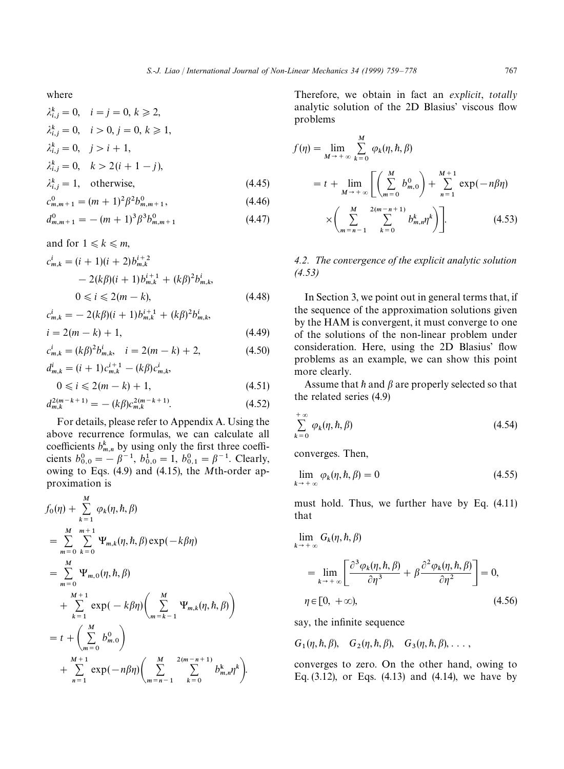where

$$
\lambda_{i,j}^k = 0, \quad i = j = 0, \ k \ge 2,
$$
  
\n
$$
\lambda_{i,j}^k = 0, \quad i > 0, j = 0, \ k \ge 1,
$$
  
\n
$$
\lambda_{i,j}^k = 0, \quad j > i + 1,
$$
  
\n
$$
\lambda_{i,j}^k = 0, \quad k > 2(i + 1 - j),
$$
  
\n
$$
\lambda_{i,j}^k = 1, \quad \text{otherwise},
$$
  
\n
$$
c_{m,m+1}^0 = (m + 1)^2 \beta^2 b_{m,m+1}^0,
$$
\n(4.46)

$$
d_{m,m+1}^0 = -(m+1)^3 \beta^3 b_{m,m+1}^0 \tag{4.47}
$$

and for  $1 \leq k \leq m$ ,  $c_{m,k}^i = (i + 1)(i + 2)b_{m,k}^{i+2}$  $-2(k\beta)(i+1)b_{m,k}^{i+1} + (k\beta)^2b_{m,k}^i$  $0 \le i \le 2(m - k),$  (4.48)

$$
c_{m,k}^{i} = -2(k\beta)(i+1)b_{m,k}^{i+1} + (k\beta)^{2}b_{m,k}^{i},
$$
  

$$
i = 2(m-k) + 1,
$$
 (4.49)

$$
c_{m,k}^i = (k\beta)^2 b_{m,k}^i, \quad i = 2(m-k) + 2,\tag{4.50}
$$

$$
d_{m,k}^i = (i+1)c_{m,k}^{i+1} - (k\beta)c_{m,k}^i,
$$

$$
0 \leqslant i \leqslant 2(m-k)+1,\tag{4.51}
$$

$$
d_{m,k}^{2(m-k+1)} = -(k\beta)c_{m,k}^{2(m-k+1)}.
$$
 (4.52)

For details, please refer to Appendix A. Using the above recurrence formulas, we can calculate all coefficients  $b_{m,n}^k$  by using only the first three coefficients  $b_{0,0}^0 = -\beta^{-1}$ ,  $b_{0,0}^1 = 1$ ,  $b_{0,1}^0 = \beta^{-1}$ . Clearly, owing to Eqs. (4.9) and (4.15), the *M*th-order approximation is

$$
f_0(\eta) + \sum_{k=1}^{M} \varphi_k(\eta, \hbar, \beta)
$$
  
= 
$$
\sum_{m=0}^{M} \sum_{k=0}^{m+1} \Psi_{m,k}(\eta, \hbar, \beta) \exp(-k\beta\eta)
$$
  
= 
$$
\sum_{m=0}^{M} \Psi_{m,0}(\eta, \hbar, \beta)
$$
  
+ 
$$
\sum_{k=1}^{M+1} \exp(-k\beta\eta) \left( \sum_{m=k-1}^{M} \Psi_{m,k}(\eta, \hbar, \beta) \right)
$$
  
= 
$$
t + \left( \sum_{m=0}^{M} b_{m,0}^0 \right)
$$
  

$$
\sum_{n=1}^{M+1} \exp(-n\beta\eta) \left( \sum_{m=n-1}^{M} \sum_{k=0}^{2(m-n+1)} b_{m,n}^k \right).
$$

Therefore, we obtain in fact an *explicit*, *totally* analytic solution of the 2D Blasius' viscous flow problems

$$
f(\eta) = \lim_{M \to +\infty} \sum_{k=0}^{M} \varphi_k(\eta, \hbar, \beta)
$$
  
=  $t + \lim_{M \to +\infty} \left[ \left( \sum_{m=0}^{M} b_{m,0}^0 \right) + \sum_{n=1}^{M+1} \exp(-n\beta\eta)$   

$$
\times \left( \sum_{m=n-1}^{M} \sum_{k=0}^{2(m-n+1)} b_{m,n}^k \right) \right].
$$
 (4.53)

#### *4.2. The convergence of the explicit analytic solution (4.53)*

In Section 3, we point out in general terms that, if the sequence of the approximation solutions given by the HAM is convergent, it must converge to one of the solutions of the non-linear problem under consideration. Here, using the 2D Blasius' flow problems as an example, we can show this point more clearly.

Assume that  $\hbar$  and  $\beta$  are properly selected so that the related series (4.9)

$$
\sum_{k=0}^{+\infty} \varphi_k(\eta, \hbar, \beta) \tag{4.54}
$$

converges. Then,

$$
\lim_{k \to +\infty} \varphi_k(\eta, \hbar, \beta) = 0 \tag{4.55}
$$

must hold. Thus, we further have by Eq. (4.11) that

$$
\lim_{k \to +\infty} G_k(\eta, \hbar, \beta)
$$
\n
$$
= \lim_{k \to +\infty} \left[ \frac{\partial^3 \varphi_k(\eta, \hbar, \beta)}{\partial \eta^3} + \beta \frac{\partial^2 \varphi_k(\eta, \hbar, \beta)}{\partial \eta^2} \right] = 0,
$$
\n
$$
\eta \in [0, +\infty), \tag{4.56}
$$

say, the infinite sequence

 $G_1(\eta, \hbar, \beta), G_2(\eta, \hbar, \beta), G_3(\eta, \hbar, \beta), \ldots,$ 

converges to zero. On the other hand, owing to Eq. (3.12), or Eqs. (4.13) and (4.14), we have by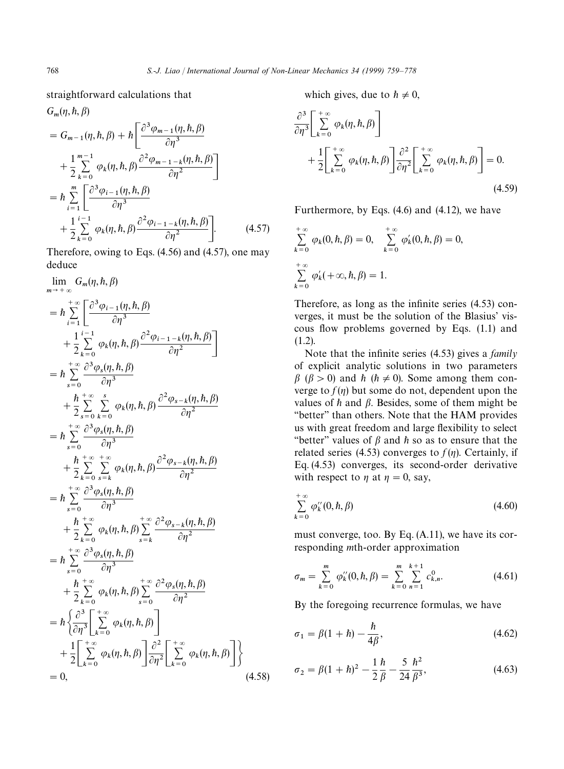straightforward calculations that

$$
G_m(\eta, \hbar, \beta)
$$
  
=  $G_{m-1}(\eta, \hbar, \beta) + \hbar \left[ \frac{\partial^3 \varphi_{m-1}(\eta, \hbar, \beta)}{\partial \eta^3} + \frac{1}{2} \sum_{k=0}^{m-1} \varphi_k(\eta, \hbar, \beta) \frac{\partial^2 \varphi_{m-1-k}(\eta, \hbar, \beta)}{\partial \eta^2} \right]$   
=  $\hbar \sum_{i=1}^m \left[ \frac{\partial^3 \varphi_{i-1}(\eta, \hbar, \beta)}{\partial \eta^3} + \frac{1}{2} \sum_{k=0}^{i-1} \varphi_k(\eta, \hbar, \beta) \frac{\partial^2 \varphi_{i-1-k}(\eta, \hbar, \beta)}{\partial \eta^2} \right].$  (4.57)

Therefore, owing to Eqs. (4.56) and (4.57), one may deduce

$$
\lim_{m \to +\infty} G_m(\eta, h, \beta)
$$
\n
$$
= \hbar \sum_{i=1}^{+\infty} \left[ \frac{\partial^3 \varphi_{i-1}(\eta, h, \beta)}{\partial \eta^3} + \frac{1}{2} \sum_{k=0}^{+\infty} \varphi_k(\eta, h, \beta) \frac{\partial^2 \varphi_{i-1-k}(\eta, h, \beta)}{\partial \eta^2} \right]
$$
\n
$$
= \hbar \sum_{s=0}^{+\infty} \frac{\partial^3 \varphi_s(\eta, h, \beta)}{\partial \eta^3} + \frac{h}{2} \sum_{s=0}^{+\infty} \sum_{k=0}^{s} \varphi_k(\eta, h, \beta) \frac{\partial^2 \varphi_{s-k}(\eta, h, \beta)}{\partial \eta^2}
$$
\n
$$
= \hbar \sum_{s=0}^{+\infty} \frac{\partial^3 \varphi_s(\eta, h, \beta)}{\partial \eta^3} + \frac{h}{2} \sum_{k=0}^{+\infty} \sum_{s=k}^{+\infty} \varphi_k(\eta, h, \beta) \frac{\partial^2 \varphi_{s-k}(\eta, h, \beta)}{\partial \eta^2}
$$
\n
$$
= \hbar \sum_{s=0}^{+\infty} \frac{\partial^3 \varphi_s(\eta, h, \beta)}{\partial \eta^3} + \frac{h}{2} \sum_{k=0}^{+\infty} \varphi_k(\eta, h, \beta) \sum_{s=k}^{+\infty} \frac{\partial^2 \varphi_{s-k}(\eta, h, \beta)}{\partial \eta^2}
$$
\n
$$
= \hbar \sum_{s=0}^{+\infty} \frac{\partial^3 \varphi_s(\eta, h, \beta)}{\partial \eta^3} + \frac{h}{2} \sum_{k=0}^{+\infty} \varphi_k(\eta, h, \beta) \sum_{s=0}^{+\infty} \frac{\partial^2 \varphi_s(\eta, h, \beta)}{\partial \eta^2}
$$
\n
$$
= \hbar \left\{ \frac{\partial^3}{\partial \eta^3} \Bigg[ \sum_{k=0}^{+\infty} \varphi_k(\eta, h, \beta) \Bigg] \frac{\partial^2}{\partial \eta^2} \Bigg[ \sum_{k=0}^{+\infty} \varphi_k(\eta, h, \beta) \Bigg] \right\}
$$
\n
$$
= 0, \qquad (4.58)
$$

which gives, due to  $h \neq 0$ ,

$$
\frac{\partial^3}{\partial \eta^3} \left[ \sum_{k=0}^{+\infty} \varphi_k(\eta, \hbar, \beta) \right] + \frac{1}{2} \left[ \sum_{k=0}^{+\infty} \varphi_k(\eta, \hbar, \beta) \right] \frac{\partial^2}{\partial \eta^2} \left[ \sum_{k=0}^{+\infty} \varphi_k(\eta, \hbar, \beta) \right] = 0.
$$
\n(4.59)

Furthermore, by Eqs. (4.6) and (4.12), we have

$$
\sum_{k=0}^{+\infty} \varphi_k(0, \hbar, \beta) = 0, \quad \sum_{k=0}^{+\infty} \varphi'_k(0, \hbar, \beta) = 0,
$$
  

$$
\sum_{k=0}^{+\infty} \varphi'_k(+\infty, \hbar, \beta) = 1.
$$

Therefore, as long as the infinite series (4.53) converges, it must be the solution of the Blasius' viscous flow problems governed by Eqs. (1.1) and (1.2).

Note that the infinite series (4.53) gives a *family* of explicit analytic solutions in two parameters  $\beta$  ( $\beta > 0$ ) and  $\hbar$  ( $\hbar \neq 0$ ). Some among them converge to  $f(\eta)$  but some do not, dependent upon the values of  $\hat{h}$  and  $\beta$ . Besides, some of them might be "better" than others. Note that the HAM provides us with great freedom and large flexibility to select "better" values of  $\beta$  and  $\hbar$  so as to ensure that the related series (4.53) converges to  $f(\eta)$ . Certainly, if Eq. (4.53) converges, its second-order derivative with respect to  $\eta$  at  $\eta = 0$ , say,

$$
\sum_{k=0}^{+\infty} \varphi_k''(0, \hbar, \beta) \tag{4.60}
$$

must converge, too. By Eq. (A.11), we have its corresponding *m*th-order approximation

$$
\sigma_m = \sum_{k=0}^{m} \varphi_k''(0, \hbar, \beta) = \sum_{k=0}^{m} \sum_{n=1}^{k+1} c_{k,n}^0.
$$
 (4.61)

By the foregoing recurrence formulas, we have

$$
\sigma_1 = \beta(1 + \hbar) - \frac{\hbar}{4\beta},\tag{4.62}
$$

$$
\sigma_2 = \beta (1 + \hbar)^2 - \frac{1}{2} \frac{\hbar}{\beta} - \frac{5}{24} \frac{\hbar^2}{\beta^3},
$$
\n(4.63)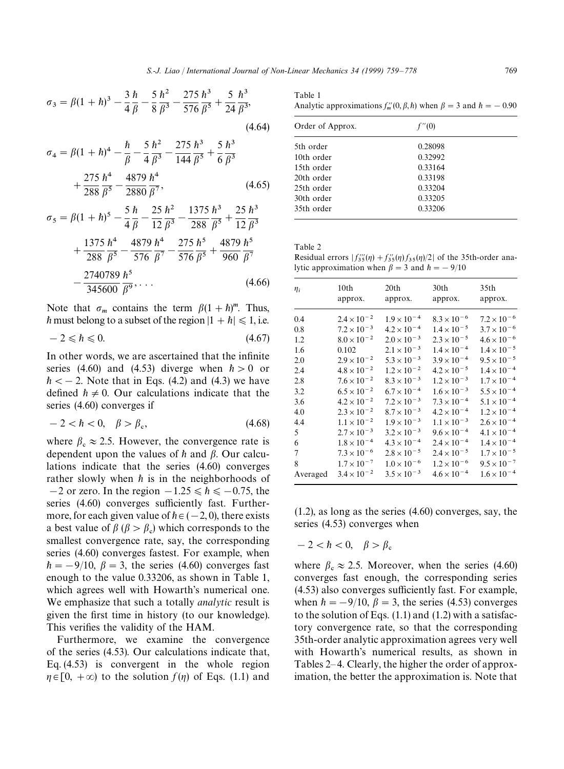$$
\sigma_3 = \beta (1 + \hbar)^3 - \frac{3}{4} \frac{\hbar}{\beta} - \frac{5}{8} \frac{\hbar^2}{\beta^3} - \frac{275}{576} \frac{\hbar^3}{\beta^5} + \frac{5}{24} \frac{\hbar^3}{\beta^3},\tag{4.64}
$$

$$
\sigma_4 = \beta (1 + h)^4 - \frac{h}{\beta} - \frac{5 h^2}{4 \beta^3} - \frac{275 h^3}{144 \beta^5} + \frac{5 h^3}{6 \beta^3} + \frac{275 h^4}{288 \beta^5} - \frac{4879 h^4}{2880 \beta^7},
$$
\n(4.65)

$$
\sigma_5 = \beta (1 + h)^5 - \frac{5 h}{4 \beta} - \frac{25 h^2}{12 \beta^3} - \frac{1375 h^3}{288 \beta^5} + \frac{25 h^3}{12 \beta^3} + \frac{1375 h^4}{288 \beta^5} - \frac{4879 h^4}{576 \beta^7} - \frac{275 h^5}{576 \beta^5} + \frac{4879 h^5}{960 \beta^7} - \frac{2740789 h^5}{345600 \beta^9}, \dots
$$
\n(4.66)

Note that  $\sigma_m$  contains the term  $\beta(1 + \hbar)^m$ . Thus,  $\hbar$  must belong to a subset of the region  $|1 + \hbar| \le 1$ , i.e.

$$
-2 \leqslant h \leqslant 0. \tag{4.67}
$$

In other words, we are ascertained that the infinite series (4.60) and (4.53) diverge when  $\hbar > 0$  or  $\hbar <$  - 2. Note that in Eqs. (4.2) and (4.3) we have defined  $h \neq 0$ . Our calculations indicate that the series (4.60) converges if

$$
-2 < \hbar < 0, \quad \beta > \beta_{\rm c},\tag{4.68}
$$

where  $\beta_c \approx 2.5$ . However, the convergence rate is dependent upon the values of  $h$  and  $\beta$ . Our calculations indicate that the series (4.60) converges rather slowly when  $\hbar$  is in the neighborhoods of  $-2$  or zero. In the region  $-1.25 \le h \le 0.75$ , the series (4.60) converges sufficiently fast. Furthermore, for each given value of  $h \in (-2, 0)$ , there exists a best value of  $\beta$  ( $\beta > \beta_c$ ) which corresponds to the smallest convergence rate, say, the corresponding series (4.60) converges fastest. For example, when  $\hbar = -9/10$ ,  $\beta = 3$ , the series (4.60) converges fast enough to the value 0.33206, as shown in Table 1, which agrees well with Howarth's numerical one. We emphasize that such a totally *analytic* result is given the first time in history (to our knowledge). This verifies the validity of the HAM.

Furthermore, we examine the convergence of the series (4.53). Our calculations indicate that, Eq. (4.53) is convergent in the whole region  $\eta \in [0, +\infty)$  to the solution  $f(\eta)$  of Eqs. (1.1) and

Table 1 Analytic approximations  $f_m''(0, \beta, \hbar)$  when  $\beta = 3$  and  $\hbar = -0.90$ 

| Order of Approx. | f''(0)  |  |
|------------------|---------|--|
| 5th order        | 0.28098 |  |
| 10th order       | 0.32992 |  |
| 15th order       | 0.33164 |  |
| 20th order       | 0.33198 |  |
| 25th order       | 0.33204 |  |
| 30th order       | 0.33205 |  |
| 35th order       | 0.33206 |  |

Table 2

Residual errors  $|f_{35}^{\prime\prime\prime}(\eta) + f_{35}^{\prime\prime}(\eta)f_{35}(\eta)/2|$  of the 35th-order analytic approximation when  $\beta = 3$  and  $\hbar = -9/10$ 

| $\eta_i$ | 10th                 | 20th                 | 30th                 | 35th                 |
|----------|----------------------|----------------------|----------------------|----------------------|
|          | approx.              | approx.              | approx.              | approx.              |
| 0.4      | $2.4 \times 10^{-2}$ | $1.9 \times 10^{-4}$ | $8.3 \times 10^{-6}$ | $7.2 \times 10^{-6}$ |
| 0.8      | $7.2 \times 10^{-3}$ | $4.2 \times 10^{-4}$ | $1.4 \times 10^{-5}$ | $3.7 \times 10^{-6}$ |
| 1.2      | $8.0 \times 10^{-2}$ | $2.0 \times 10^{-3}$ | $2.3 \times 10^{-5}$ | $4.6 \times 10^{-6}$ |
| 1.6      | 0.102                | $2.1 \times 10^{-3}$ | $1.4 \times 10^{-4}$ | $1.4 \times 10^{-5}$ |
| 2.0      | $2.9 \times 10^{-2}$ | $5.3 \times 10^{-3}$ | $3.9 \times 10^{-4}$ | $9.5 \times 10^{-5}$ |
| 2.4      | $4.8 \times 10^{-2}$ | $1.2 \times 10^{-2}$ | $4.2 \times 10^{-5}$ | $1.4 \times 10^{-4}$ |
| 2.8      | $7.6 \times 10^{-2}$ | $8.3 \times 10^{-3}$ | $1.2 \times 10^{-3}$ | $1.7 \times 10^{-4}$ |
| 3.2      | $6.5 \times 10^{-2}$ | $6.7 \times 10^{-4}$ | $1.6 \times 10^{-3}$ | $5.5 \times 10^{-4}$ |
| 3.6      | $4.2 \times 10^{-2}$ | $7.2 \times 10^{-3}$ | $7.3 \times 10^{-4}$ | $5.1 \times 10^{-4}$ |
| 4.0      | $2.3 \times 10^{-2}$ | $8.7 \times 10^{-3}$ | $4.2 \times 10^{-4}$ | $1.2 \times 10^{-4}$ |
| 4.4      | $1.1 \times 10^{-2}$ | $1.9 \times 10^{-3}$ | $1.1 \times 10^{-3}$ | $2.6 \times 10^{-4}$ |
| 5        | $2.7 \times 10^{-3}$ | $3.2 \times 10^{-3}$ | $9.6 \times 10^{-4}$ | $4.1 \times 10^{-4}$ |
| 6        | $1.8 \times 10^{-4}$ | $4.3 \times 10^{-4}$ | $2.4 \times 10^{-4}$ | $1.4 \times 10^{-4}$ |
| 7        | $7.3 \times 10^{-6}$ | $2.8 \times 10^{-5}$ | $2.4 \times 10^{-5}$ | $1.7 \times 10^{-5}$ |
| 8        | $1.7 \times 10^{-7}$ | $1.0 \times 10^{-6}$ | $1.2 \times 10^{-6}$ | $9.5 \times 10^{-7}$ |
| Averaged | $3.4 \times 10^{-2}$ | $3.5 \times 10^{-3}$ | $4.6 \times 10^{-4}$ | $1.6 \times 10^{-4}$ |

(1.2), as long as the series (4.60) converges, say, the series (4.53) converges when

 $-2 < \hbar < 0$ ,  $\beta > \beta_c$ 

where  $\beta_c \approx 2.5$ . Moreover, when the series (4.60) converges fast enough, the corresponding series (4.53) also converges sufficiently fast. For example, when  $h = -9/10$ ,  $\beta = 3$ , the series (4.53) converges to the solution of Eqs.  $(1.1)$  and  $(1.2)$  with a satisfactory convergence rate, so that the corresponding 35th-order analytic approximation agrees very well with Howarth's numerical results, as shown in Tables 2*—*4. Clearly, the higher the order of approximation, the better the approximation is. Note that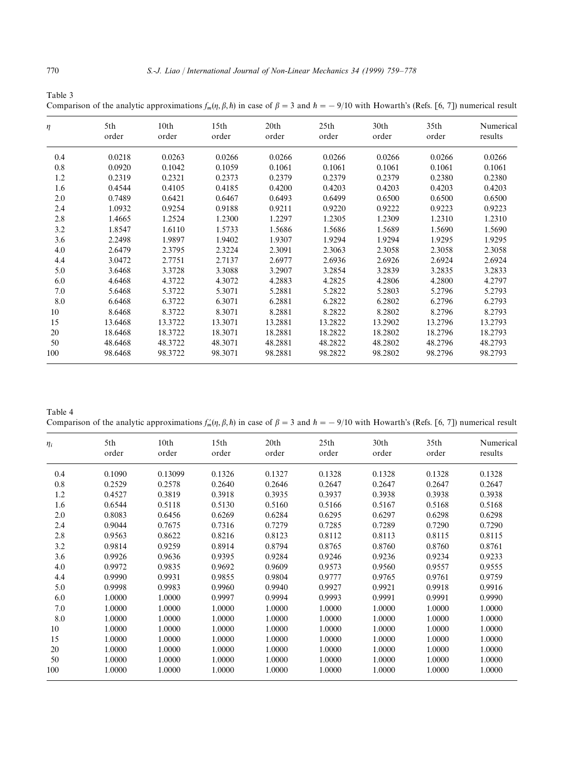| Table 3                                                                                                                                               |  |
|-------------------------------------------------------------------------------------------------------------------------------------------------------|--|
| Comparison of the analytic approximations $f_m(\eta, \beta, h)$ in case of $\beta = 3$ and $h = -9/10$ with Howarth's (Refs. [6, 7]) numerical result |  |

| η   | 5th<br>order | 10 <sub>th</sub><br>order | 15 <sub>th</sub><br>order | 20th<br>order | 25th<br>order | 30 <sub>th</sub><br>order | 35 <sub>th</sub><br>order | Numerical<br>results |
|-----|--------------|---------------------------|---------------------------|---------------|---------------|---------------------------|---------------------------|----------------------|
| 0.4 | 0.0218       | 0.0263                    | 0.0266                    | 0.0266        | 0.0266        | 0.0266                    | 0.0266                    | 0.0266               |
| 0.8 | 0.0920       | 0.1042                    | 0.1059                    | 0.1061        | 0.1061        | 0.1061                    | 0.1061                    | 0.1061               |
| 1.2 | 0.2319       | 0.2321                    | 0.2373                    | 0.2379        | 0.2379        | 0.2379                    | 0.2380                    | 0.2380               |
| 1.6 | 0.4544       | 0.4105                    | 0.4185                    | 0.4200        | 0.4203        | 0.4203                    | 0.4203                    | 0.4203               |
| 2.0 | 0.7489       | 0.6421                    | 0.6467                    | 0.6493        | 0.6499        | 0.6500                    | 0.6500                    | 0.6500               |
| 2.4 | 1.0932       | 0.9254                    | 0.9188                    | 0.9211        | 0.9220        | 0.9222                    | 0.9223                    | 0.9223               |
| 2.8 | 1.4665       | 1.2524                    | 1.2300                    | 1.2297        | 1.2305        | 1.2309                    | 1.2310                    | 1.2310               |
| 3.2 | 1.8547       | 1.6110                    | 1.5733                    | 1.5686        | 1.5686        | 1.5689                    | 1.5690                    | 1.5690               |
| 3.6 | 2.2498       | 1.9897                    | 1.9402                    | 1.9307        | 1.9294        | 1.9294                    | 1.9295                    | 1.9295               |
| 4.0 | 2.6479       | 2.3795                    | 2.3224                    | 2.3091        | 2.3063        | 2.3058                    | 2.3058                    | 2.3058               |
| 4.4 | 3.0472       | 2.7751                    | 2.7137                    | 2.6977        | 2.6936        | 2.6926                    | 2.6924                    | 2.6924               |
| 5.0 | 3.6468       | 3.3728                    | 3.3088                    | 3.2907        | 3.2854        | 3.2839                    | 3.2835                    | 3.2833               |
| 6.0 | 4.6468       | 4.3722                    | 4.3072                    | 4.2883        | 4.2825        | 4.2806                    | 4.2800                    | 4.2797               |
| 7.0 | 5.6468       | 5.3722                    | 5.3071                    | 5.2881        | 5.2822        | 5.2803                    | 5.2796                    | 5.2793               |
| 8.0 | 6.6468       | 6.3722                    | 6.3071                    | 6.2881        | 6.2822        | 6.2802                    | 6.2796                    | 6.2793               |
| 10  | 8.6468       | 8.3722                    | 8.3071                    | 8.2881        | 8.2822        | 8.2802                    | 8.2796                    | 8.2793               |
| 15  | 13.6468      | 13.3722                   | 13.3071                   | 13.2881       | 13.2822       | 13.2902                   | 13.2796                   | 13.2793              |
| 20  | 18.6468      | 18.3722                   | 18.3071                   | 18.2881       | 18.2822       | 18.2802                   | 18.2796                   | 18.2793              |
| 50  | 48.6468      | 48.3722                   | 48.3071                   | 48.2881       | 48.2822       | 48.2802                   | 48.2796                   | 48.2793              |
| 100 | 98.6468      | 98.3722                   | 98.3071                   | 98.2881       | 98.2822       | 98.2802                   | 98.2796                   | 98.2793              |

Table 4 Comparison of the analytic approximations  $f'_m(\eta, \beta, \hbar)$  in case of  $\beta = 3$  and  $\hbar = -9/10$  with Howarth's (Refs. [6, 7]) numerical result

| $\eta_i$ | 5th<br>order | 10th<br>order | 15th<br>order | 20th<br>order | 25th<br>order | 30 <sub>th</sub><br>order | 35th<br>order | Numerical<br>results |
|----------|--------------|---------------|---------------|---------------|---------------|---------------------------|---------------|----------------------|
| 0.4      | 0.1090       | 0.13099       | 0.1326        | 0.1327        | 0.1328        | 0.1328                    | 0.1328        | 0.1328               |
| 0.8      | 0.2529       | 0.2578        | 0.2640        | 0.2646        | 0.2647        | 0.2647                    | 0.2647        | 0.2647               |
| 1.2      | 0.4527       | 0.3819        | 0.3918        | 0.3935        | 0.3937        | 0.3938                    | 0.3938        | 0.3938               |
| 1.6      | 0.6544       | 0.5118        | 0.5130        | 0.5160        | 0.5166        | 0.5167                    | 0.5168        | 0.5168               |
| 2.0      | 0.8083       | 0.6456        | 0.6269        | 0.6284        | 0.6295        | 0.6297                    | 0.6298        | 0.6298               |
| 2.4      | 0.9044       | 0.7675        | 0.7316        | 0.7279        | 0.7285        | 0.7289                    | 0.7290        | 0.7290               |
| 2.8      | 0.9563       | 0.8622        | 0.8216        | 0.8123        | 0.8112        | 0.8113                    | 0.8115        | 0.8115               |
| 3.2      | 0.9814       | 0.9259        | 0.8914        | 0.8794        | 0.8765        | 0.8760                    | 0.8760        | 0.8761               |
| 3.6      | 0.9926       | 0.9636        | 0.9395        | 0.9284        | 0.9246        | 0.9236                    | 0.9234        | 0.9233               |
| 4.0      | 0.9972       | 0.9835        | 0.9692        | 0.9609        | 0.9573        | 0.9560                    | 0.9557        | 0.9555               |
| 4.4      | 0.9990       | 0.9931        | 0.9855        | 0.9804        | 0.9777        | 0.9765                    | 0.9761        | 0.9759               |
| 5.0      | 0.9998       | 0.9983        | 0.9960        | 0.9940        | 0.9927        | 0.9921                    | 0.9918        | 0.9916               |
| 6.0      | 1.0000       | 1.0000        | 0.9997        | 0.9994        | 0.9993        | 0.9991                    | 0.9991        | 0.9990               |
| 7.0      | 1.0000       | 1.0000        | 1.0000        | 1.0000        | 1.0000        | 1.0000                    | 1.0000        | 1.0000               |
| 8.0      | 1.0000       | 1.0000        | 1.0000        | 1.0000        | 1.0000        | 1.0000                    | 1.0000        | 1.0000               |
| 10       | 1.0000       | 1.0000        | 1.0000        | 1.0000        | 1.0000        | 1.0000                    | 1.0000        | 1.0000               |
| 15       | 1.0000       | 1.0000        | 1.0000        | 1.0000        | 1.0000        | 1.0000                    | 1.0000        | 1.0000               |
| 20       | 1.0000       | 1.0000        | 1.0000        | 1.0000        | 1.0000        | 1.0000                    | 1.0000        | 1.0000               |
| 50       | 1.0000       | 1.0000        | 1.0000        | 1.0000        | 1.0000        | 1.0000                    | 1.0000        | 1.0000               |
| 100      | 1.0000       | 1.0000        | 1.0000        | 1.0000        | 1.0000        | 1.0000                    | 1.0000        | 1.0000               |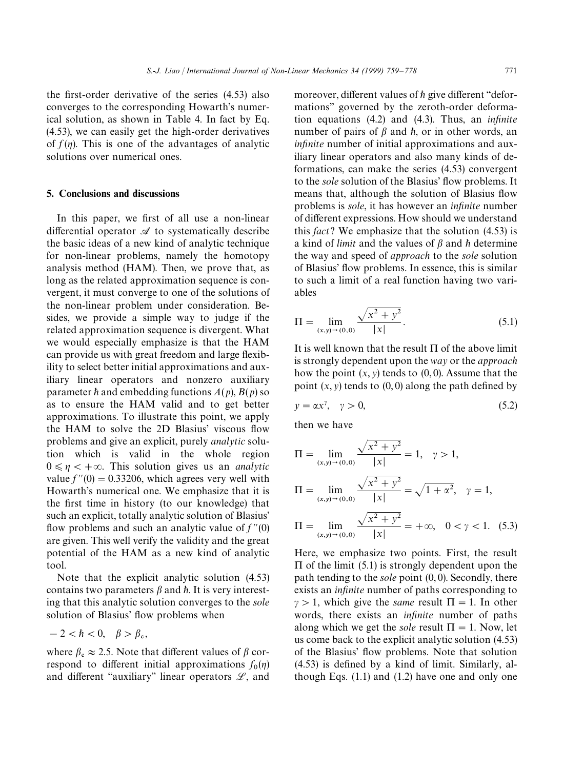the first-order derivative of the series (4.53) also converges to the corresponding Howarth's numerical solution, as shown in Table 4. In fact by Eq. (4.53), we can easily get the high-order derivatives of  $f(n)$ . This is one of the advantages of analytic solutions over numerical ones.

#### 5. Conclusions and discussions

In this paper, we first of all use a non-linear differential operator  $\mathscr A$  to systematically describe the basic ideas of a new kind of analytic technique for non-linear problems, namely the homotopy analysis method (HAM). Then, we prove that, as long as the related approximation sequence is convergent, it must converge to one of the solutions of the non-linear problem under consideration. Besides, we provide a simple way to judge if the related approximation sequence is divergent. What we would especially emphasize is that the HAM can provide us with great freedom and large flexibility to select better initial approximations and auxiliary linear operators and nonzero auxiliary parameter  $\hbar$  and embedding functions  $A(p)$ ,  $B(p)$  so as to ensure the HAM valid and to get better approximations. To illustrate this point, we apply the HAM to solve the 2D Blasius' viscous flow problems and give an explicit, purely *analytic* solution which is valid in the whole region  $0 \le \eta < +\infty$ . This solution gives us an *analytic* value  $f''(0) = 0.33206$ , which agrees very well with Howarth's numerical one. We emphasize that it is the first time in history (to our knowledge) that such an explicit, totally analytic solution of Blasius' flow problems and such an analytic value of  $f''(0)$ are given. This well verify the validity and the great potential of the HAM as a new kind of analytic tool.

Note that the explicit analytic solution (4.53) contains two parameters  $\beta$  and  $\hbar$ . It is very interesting that this analytic solution converges to the *sole* solution of Blasius' flow problems when

$$
-2 < \hbar < 0, \quad \beta > \beta_c,
$$

where  $\beta_c \approx 2.5$ . Note that different values of  $\beta$  correspond to different initial approximations  $f_0(\eta)$ and different "auxiliary" linear operators  $\mathscr{L}$ , and moreover, different values of  $h$  give different "deformations'' governed by the zeroth-order deformation equations (4.2) and (4.3). Thus, an *infinite* number of pairs of  $\beta$  and  $\hbar$ , or in other words, an *infinite* number of initial approximations and auxiliary linear operators and also many kinds of deformations, can make the series (4.53) convergent to the *sole* solution of the Blasius' flow problems. It means that, although the solution of Blasius flow problems is *sole*, it has however an *infinite* number of different expressions. How should we understand this *fact*? We emphasize that the solution (4.53) is a kind of *limit* and the values of  $\beta$  and  $\hbar$  determine the way and speed of *approach* to the *sole* solution of Blasius' flow problems. In essence, this is similar to such a limit of a real function having two variables

$$
\Pi = \lim_{(x,y)\to(0,0)} \frac{\sqrt{x^2 + y^2}}{|x|}.
$$
\n(5.1)

It is well known that the result  $\Pi$  of the above limit is strongly dependent upon the *way* or the *approach* how the point  $(x, y)$  tends to  $(0, 0)$ . Assume that the point  $(x, y)$  tends to  $(0, 0)$  along the path defined by

$$
y = \alpha x^{\gamma}, \quad \gamma > 0,
$$
\n<sup>(5.2)</sup>

then we have

$$
\Pi = \lim_{(x,y)\to(0,0)} \frac{\sqrt{x^2 + y^2}}{|x|} = 1, \quad \gamma > 1,
$$
  
\n
$$
\Pi = \lim_{(x,y)\to(0,0)} \frac{\sqrt{x^2 + y^2}}{|x|} = \sqrt{1 + \alpha^2}, \quad \gamma = 1,
$$
  
\n
$$
\Pi = \lim_{(x,y)\to(0,0)} \frac{\sqrt{x^2 + y^2}}{|x|} = +\infty, \quad 0 < \gamma < 1. \quad (5.3)
$$

Here, we emphasize two points. First, the result  $\Pi$  of the limit (5.1) is strongly dependent upon the path tending to the *sole* point (0, 0). Secondly, there exists an *infinite* number of paths corresponding to  $\gamma > 1$ , which give the *same* result  $\Pi = 1$ . In other words, there exists an *infinite* number of paths along which we get the *sole* result  $\Pi = 1$ . Now, let us come back to the explicit analytic solution (4.53) of the Blasius' flow problems. Note that solution (4.53) is defined by a kind of limit. Similarly, although Eqs. (1.1) and (1.2) have one and only one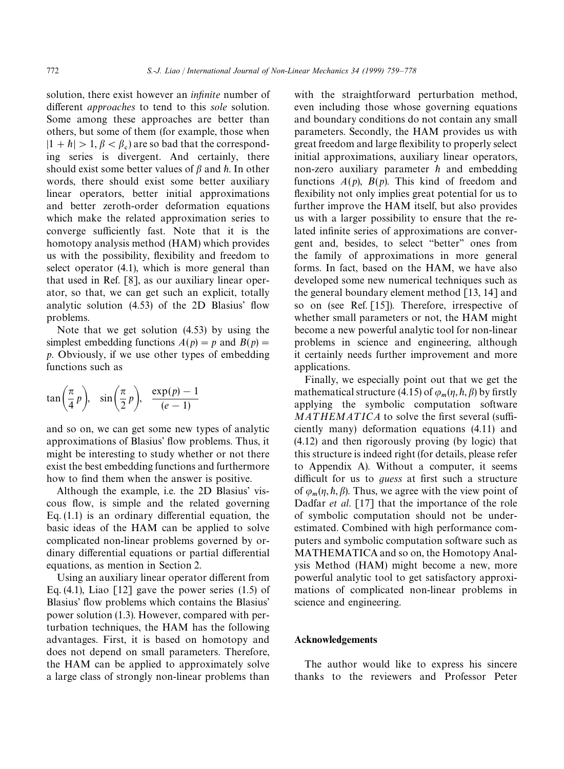solution, there exist however an *infinite* number of different *approaches* to tend to this *sole* solution. Some among these approaches are better than others, but some of them (for example, those when  $|1 + h| > 1, \beta < \beta_c$ ) are so bad that the corresponding series is divergent. And certainly, there should exist some better values of  $\beta$  and  $\hbar$ . In other words, there should exist some better auxiliary linear operators, better initial approximations and better zeroth-order deformation equations which make the related approximation series to converge sufficiently fast. Note that it is the homotopy analysis method (HAM) which provides us with the possibility, flexibility and freedom to select operator (4.1), which is more general than that used in Ref. [8], as our auxiliary linear operator, so that, we can get such an explicit, totally analytic solution (4.53) of the 2D Blasius' flow problems.

Note that we get solution (4.53) by using the simplest embedding functions  $A(p) = p$  and  $B(p) =$ *p*. Obviously, if we use other types of embedding functions such as

$$
\tan\left(\frac{\pi}{4}p\right), \quad \sin\left(\frac{\pi}{2}p\right), \quad \frac{\exp(p)-1}{(e-1)}
$$

and so on, we can get some new types of analytic approximations of Blasius' flow problems. Thus, it might be interesting to study whether or not there exist the best embedding functions and furthermore how to find them when the answer is positive.

Although the example, i.e. the 2D Blasius' viscous flow, is simple and the related governing Eq. (1.1) is an ordinary differential equation, the basic ideas of the HAM can be applied to solve complicated non-linear problems governed by ordinary differential equations or partial differential equations, as mention in Section 2.

Using an auxiliary linear operator different from Eq. (4.1), Liao  $\lceil 12 \rceil$  gave the power series (1.5) of Blasius' flow problems which contains the Blasius' power solution (1.3). However, compared with perturbation techniques, the HAM has the following advantages. First, it is based on homotopy and does not depend on small parameters. Therefore, the HAM can be applied to approximately solve a large class of strongly non-linear problems than

with the straightforward perturbation method, even including those whose governing equations and boundary conditions do not contain any small parameters. Secondly, the HAM provides us with great freedom and large flexibility to properly select initial approximations, auxiliary linear operators, non-zero auxiliary parameter  $\hbar$  and embedding functions  $A(p)$ ,  $B(p)$ . This kind of freedom and flexibility not only implies great potential for us to further improve the HAM itself, but also provides us with a larger possibility to ensure that the related infinite series of approximations are convergent and, besides, to select ''better'' ones from the family of approximations in more general forms. In fact, based on the HAM, we have also developed some new numerical techniques such as the general boundary element method [13, 14] and so on (see Ref. [15]). Therefore, irrespective of whether small parameters or not, the HAM might become a new powerful analytic tool for non-linear problems in science and engineering, although it certainly needs further improvement and more applications.

Finally, we especially point out that we get the mathematical structure (4.15) of  $\varphi_m(\eta, \hbar, \beta)$  by firstly applying the symbolic computation software *MATHEMATICA* to solve the first several (sufficiently many) deformation equations (4.11) and (4.12) and then rigorously proving (by logic) that this structure is indeed right (for details, please refer to Appendix A). Without a computer, it seems difficult for us to *guess* at first such a structure of  $\varphi_m(\eta, \hbar, \beta)$ . Thus, we agree with the view point of Dadfar *et al*. [17] that the importance of the role of symbolic computation should not be underestimated. Combined with high performance computers and symbolic computation software such as MATHEMATICA and so on, the Homotopy Analysis Method (HAM) might become a new, more powerful analytic tool to get satisfactory approximations of complicated non-linear problems in science and engineering.

#### Acknowledgements

The author would like to express his sincere thanks to the reviewers and Professor Peter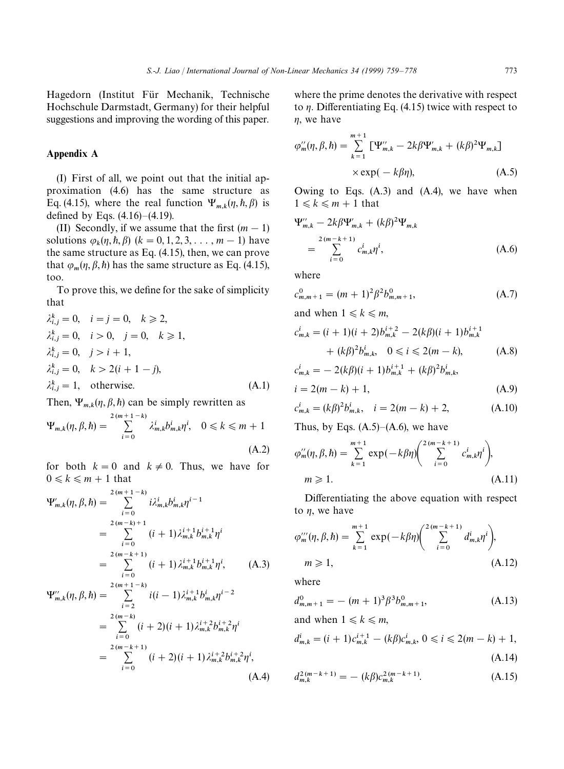Hagedorn (Institut Für Mechanik, Technische Hochschule Darmstadt, Germany) for their helpful suggestions and improving the wording of this paper.

#### Appendix A

(I) First of all, we point out that the initial approximation (4.6) has the same structure as Eq. (4.15), where the real function  $\Psi_{m,k}(\eta, \hbar, \beta)$  is defined by Eqs. (4.16)*—*(4.19).

(II) Secondly, if we assume that the first  $(m - 1)$ solutions  $\varphi_k(\eta, h, \beta)$  ( $k = 0, 1, 2, 3, ..., m - 1$ ) have the same structure as Eq. (4.15), then, we can prove that  $\varphi_m(\eta, \beta, \hbar)$  has the same structure as Eq. (4.15), too.

To prove this, we define for the sake of simplicity that

$$
\lambda_{i,j}^{k} = 0, \quad i = j = 0, \quad k \ge 2, \n\lambda_{i,j}^{k} = 0, \quad i > 0, \quad j = 0, \quad k \ge 1, \n\lambda_{i,j}^{k} = 0, \quad j > i + 1, \n\lambda_{i,j}^{k} = 0, \quad k > 2(i + 1 - j), \n\lambda_{i,j}^{k} = 1, \quad \text{otherwise.}
$$
\n(A.1)

Then,  $\Psi_{m,k}(\eta, \beta, \hbar)$  can be simply rewritten as

$$
\Psi_{m,k}(\eta,\beta,\hbar) = \sum_{i=0}^{2(m+1-k)} \lambda_{m,k}^i b_{m,k}^i \eta^i, \quad 0 \le k \le m+1
$$
\n(A.2)

for both  $k = 0$  and  $k \neq 0$ . Thus, we have for  $0 \leq k \leq m+1$  that

$$
\Psi'_{m,k}(\eta,\beta,\hbar) = \sum_{i=0}^{2(m+1-k)} i\lambda_{m,k}^{i}b_{m,k}^{i}\eta^{i-1}
$$
  
\n
$$
= \sum_{i=0}^{2(m-k)+1} (i+1)\lambda_{m,k}^{i+1}b_{m,k}^{i+1}\eta^{i}
$$
  
\n
$$
= \sum_{i=0}^{2(m-k+1)} (i+1)\lambda_{m,k}^{i+1}b_{m,k}^{i+1}\eta^{i}, \qquad (A.3)
$$
  
\n
$$
\Psi''_{m,k}(\eta,\beta,\hbar) = \sum_{i=2}^{2(m+1-k)} i(i-1)\lambda_{m,k}^{i+1}b_{m,k}^{i}\eta^{i-2}
$$

$$
= \sum_{i=0}^{2(m-k)} (i+2)(i+1)\lambda_{m,k}^{i+2}b_{m,k}^{i+2}\eta^{i}
$$
  
= 
$$
\sum_{i=0}^{2(m-k+1)} (i+2)(i+1)\lambda_{m,k}^{i+2}b_{m,k}^{i+2}\eta^{i},
$$
 (A.4)

where the prime denotes the derivative with respect to  $\eta$ . Differentiating Eq. (4.15) twice with respect to  $\eta$ , we have

$$
\varphi''_m(\eta, \beta, \hbar) = \sum_{k=1}^{m+1} \left[ \Psi''_{m,k} - 2k\beta \Psi'_{m,k} + (k\beta)^2 \Psi_{m,k} \right]
$$

$$
\times \exp(-k\beta\eta), \tag{A.5}
$$

Owing to Eqs. (A.3) and (A.4), we have when  $1 \leq k \leq m+1$  that

$$
\Psi_{m,k}'' - 2k\beta \Psi_{m,k}' + (k\beta)^2 \Psi_{m,k}
$$
  
= 
$$
\sum_{i=0}^{2(m-k+1)} c_{m,k}^i \eta^i,
$$
 (A.6)

where

$$
c_{m,m+1}^0 = (m+1)^2 \beta^2 b_{m,m+1}^0,
$$
 (A.7)

and when 
$$
1 \le k \le m
$$
,

$$
c_{m,k}^{i} = (i+1)(i+2)b_{m,k}^{i+2} - 2(k\beta)(i+1)b_{m,k}^{i+1} + (k\beta)^{2}b_{m,k}^{i}, \quad 0 \le i \le 2(m-k), \tag{A.8}
$$

$$
c_{m,k}^{i} = -2(k\beta)(i+1)b_{m,k}^{i+1} + (k\beta)^{2}b_{m,k}^{i},
$$
  

$$
i = 2(m-k) + 1,
$$
 (A.9)

$$
c_{m,k}^i = (k\beta)^2 b_{m,k}^i, \quad i = 2(m-k) + 2,
$$
 (A.10)

Thus, by Eqs. (A.5)*—*(A.6), we have

$$
\varphi_m''(\eta, \beta, \hbar) = \sum_{k=1}^{m+1} \exp(-k\beta\eta) \left( \sum_{i=0}^{2(m-k+1)} c_{m,k}^i \eta^i \right),
$$
  
\n
$$
m \ge 1.
$$
\n(A.11)

Differentiating the above equation with respect to  $\eta$ , we have

$$
\varphi_{m}'''(\eta, \beta, \hbar) = \sum_{k=1}^{m+1} \exp(-k\beta\eta) \left( \sum_{i=0}^{2(m-k+1)} d_{m,k}^{i} \eta^{i} \right),
$$
  
\n
$$
m \ge 1,
$$
 (A.12)

where

$$
d_{m,m+1}^0 = -(m+1)^3 \beta^3 b_{m,m+1}^0,
$$
 (A.13)

and when  $1 \leq k \leq m$ ,

$$
d_{m,k}^i = (i+1)c_{m,k}^{i+1} - (k\beta)c_{m,k}^i, 0 \le i \le 2(m-k)+1,
$$
\n(A.14)

$$
d_{m,k}^{2(m-k+1)} = -(k\beta)c_{m,k}^{2(m-k+1)}.
$$
\n(A.15)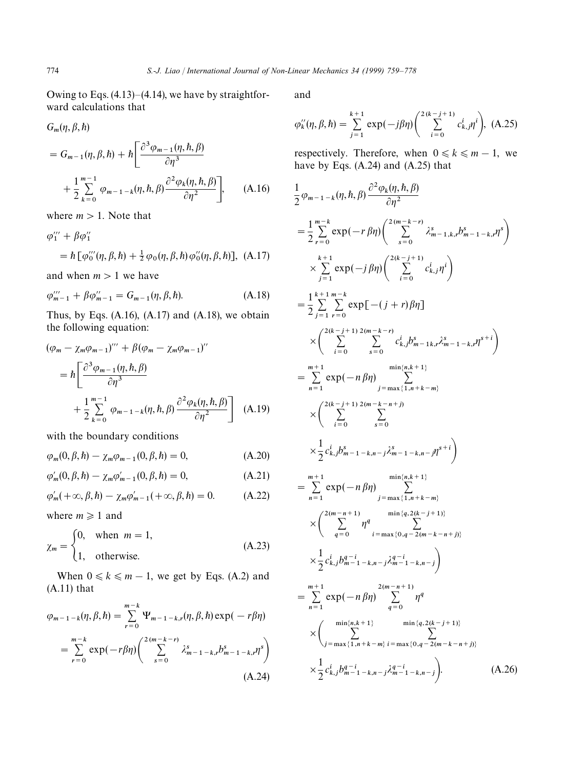Owing to Eqs. (4.13)*—*(4.14), we have by straightforward calculations that

$$
= G_{m-1}(\eta, \beta, \hbar) + \hbar \left[ \frac{\partial^3 \varphi_{m-1}(\eta, \hbar, \beta)}{\partial \eta^3} + \frac{1}{2} \sum_{k=0}^{m-1} \varphi_{m-1-k}(\eta, \hbar, \beta) \frac{\partial^2 \varphi_k(\eta, \hbar, \beta)}{\partial \eta^2} \right], \quad (A.16)
$$

where  $m > 1$ . Note that

$$
\varphi_{1}''' + \beta \varphi_{1}''
$$
  
=  $\hbar [\varphi_{0}'''(\eta, \beta, \hbar) + \frac{1}{2} \varphi_{0}(\eta, \beta, \hbar) \varphi_{0}''(\eta, \beta, \hbar)],$  (A.17)

and when  $m > 1$  we have

$$
\varphi_{m-1}'' + \beta \varphi_{m-1}'' = G_{m-1}(\eta, \beta, \hbar). \tag{A.18}
$$

Thus, by Eqs.  $(A.16)$ ,  $(A.17)$  and  $(A.18)$ , we obtain the following equation:

$$
(\varphi_m - \chi_m \varphi_{m-1})'' + \beta(\varphi_m - \chi_m \varphi_{m-1})''
$$
  
=  $\hbar \left[ \frac{\partial^3 \varphi_{m-1}(\eta, \hbar, \beta)}{\partial \eta^3} + \frac{1}{2} \sum_{k=0}^{m-1} \varphi_{m-1-k}(\eta, \hbar, \beta) \frac{\partial^2 \varphi_k(\eta, \hbar, \beta)}{\partial \eta^2} \right]$  (A.19)

with the boundary conditions

$$
\varphi_m(0,\beta,\hbar) - \chi_m \varphi_{m-1}(0,\beta,\hbar) = 0, \tag{A.20}
$$

$$
\varphi'_m(0,\beta,\hbar) - \chi_m \varphi'_{m-1}(0,\beta,\hbar) = 0, \tag{A.21}
$$

$$
\varphi'_m(+\infty,\beta,\hbar) - \chi_m \varphi'_{m-1}(+\infty,\beta,\hbar) = 0. \tag{A.22}
$$

where  $m \ge 1$  and

$$
\chi_m = \begin{cases} 0, & \text{when } m = 1, \\ 1, & \text{otherwise.} \end{cases}
$$
 (A.23)

When  $0 \le k \le m - 1$ , we get by Eqs. (A.2) and (A.11) that

$$
\varphi_{m-1-k}(\eta, \beta, \hbar) = \sum_{r=0}^{m-k} \Psi_{m-1-k,r}(\eta, \beta, \hbar) \exp(-r\beta\eta)
$$
  
= 
$$
\sum_{r=0}^{m-k} \exp(-r\beta\eta) \left( \sum_{s=0}^{2(m-k-r)} \lambda_{m-1-k,r}^s b_{m-1-k,r}^s \right)
$$
  
(A.24)

and

$$
\varphi_k''(\eta, \beta, \hbar) = \sum_{j=1}^{k+1} \exp(-j\beta\eta) \left( \sum_{i=0}^{2(k-j+1)} c_{k,j}^i \eta^i \right), \ (A.25)
$$

respectively. Therefore, when  $0 \le k \le m - 1$ , we have by Eqs. (A.24) and (A.25) that

$$
\frac{1}{2} \varphi_{m-1-k}(\eta, \hbar, \beta) \frac{\partial^2 \varphi_k(\eta, \hbar, \beta)}{\partial \eta^2} \n= \frac{1}{2} \sum_{r=0}^{m-k} \exp(-r \beta \eta) \left( \sum_{s=0}^{2(m-k-r)} \lambda_{m-1,k,r}^s b_{m-1-k,r}^s \right) \n\times \sum_{j=1}^{k+1} \exp(-j \beta \eta) \left( \sum_{i=0}^{2(k-j+1)} c_{k,j}^i \eta^i \right) \n= \frac{1}{2} \sum_{j=1}^{k+1} \sum_{r=0}^{m-k} \exp[-(j+r) \beta \eta] \n\times \left( \sum_{i=0}^{2(k-j+1)} \sum_{s=0}^{2(m-k-r)} c_{k,j}^i b_{m-1,k,r}^s \lambda_{m-1-k,r}^s \eta^{s+i} \right) \n= \sum_{n=1}^{m+1} \exp(-n \beta \eta) \sum_{j=\max\{1,n+k-m\}}^{m \text{min}(n,k+1)} \n\times \left( \sum_{i=0}^{2(k-j+1)} \sum_{s=0}^{2(m-k-n+j)} c_{k,j}^i b_{m-1-k,m-j}^s \eta^{s+i} \right) \n\times \frac{1}{2} c_{k,j}^i b_{m-1-k,n-j}^s \lambda_{m-1-k,n-j}^s \eta^{s+i} \right) \n= \sum_{n=1}^{m+1} \exp(-n \beta \eta) \sum_{j=\max\{1,n+k-m\}}^{m \text{min}(n,k+1)} \n\times \left( \sum_{q=0}^{2(m-n+1)} \eta^q \sum_{i=\max\{0,q-2(m-k-n+j\}}^{m \text{min}(q, 2(k-j+1))} c_{i \max\{0,q-2(m-k-n+j\}} \right) \n\times \frac{1}{2} c_{k,j}^i b_{m-1-k,n-j}^{q-i} \lambda_{m-1-k,n-j}^{q-i} \eta^q \n\times \left( \sum_{j=\max\{1,n+k-m\}}^{2(m-n+1)} \eta^q \right) \n\times \frac{1}{2} c_{k,j}^i b_{m-1-k,n-j}^{q-i} \lambda_{m-1-k,n-j}^{q-i} \right). \tag{A.26}
$$

*G* (*n*  $\beta$  *h*)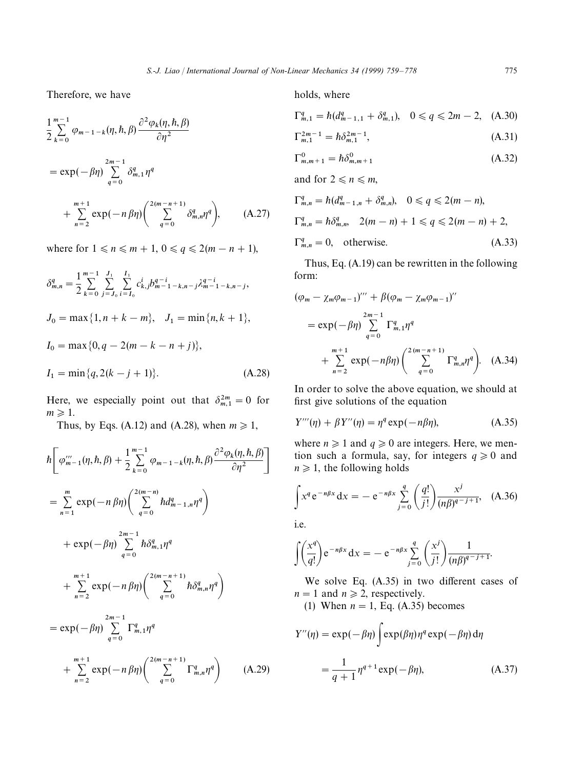Therefore, we have

$$
\frac{1}{2} \sum_{k=0}^{m-1} \varphi_{m-1-k}(\eta, \hbar, \beta) \frac{\partial^2 \varphi_k(\eta, \hbar, \beta)}{\partial \eta^2}
$$
\n
$$
= \exp(-\beta \eta) \sum_{q=0}^{2m-1} \delta_{m,1}^q \eta^q
$$
\n
$$
+ \sum_{n=2}^{m+1} \exp(-n \beta \eta) \left( \sum_{q=0}^{2(m-n+1)} \delta_{m,n}^q \eta^q \right), \qquad (A.27)
$$

where for  $1 \le n \le m + 1, 0 \le q \le 2(m - n + 1)$ ,

$$
\delta_{m,n}^{q} = \frac{1}{2} \sum_{k=0}^{m-1} \sum_{j=J_0}^{J_1} \sum_{i=I_0}^{I_1} c_{k,j}^{i} b_{m-1-k,n-j}^{q-i} \lambda_{m-1-k,n-j}^{q-i},
$$
  
\n
$$
J_0 = \max\{1, n+k-m\}, \quad J_1 = \min\{n, k+1\},
$$
  
\n
$$
I_0 = \max\{0, q-2(m-k-n+j)\},
$$
  
\n
$$
I_1 = \min\{q, 2(k-j+1)\}.
$$
\n(A.28)

Here, we especially point out that  $\delta_{m,1}^{2m} = 0$  for  $m \geq 1$ .

Thus, by Eqs. (A.12) and (A.28), when  $m \ge 1$ ,

$$
\hbar \left[ \varphi_{m-1}'''(\eta, \hbar, \beta) + \frac{1}{2} \sum_{k=0}^{m-1} \varphi_{m-1-k}(\eta, \hbar, \beta) \frac{\partial^2 \varphi_k(\eta, \hbar, \beta)}{\partial \eta^2} \right]
$$
\n
$$
= \sum_{n=1}^{m} \exp(-n \beta \eta) \left( \sum_{q=0}^{2m-1} \hbar d_{m-1,n}^q \eta^q \right)
$$
\n
$$
+ \exp(-\beta \eta) \sum_{q=0}^{2m-1} \hbar \delta_{m,1}^q \eta^q
$$
\n
$$
+ \sum_{n=2}^{m+1} \exp(-n \beta \eta) \left( \sum_{q=0}^{2(m-n+1)} \hbar \delta_{m,n}^q \eta^q \right)
$$
\n
$$
= \exp(-\beta \eta) \sum_{q=0}^{2m-1} \Gamma_{m,1}^q \eta^q
$$
\n
$$
+ \sum_{n=2}^{m+1} \exp(-n \beta \eta) \left( \sum_{q=0}^{2(m-n+1)} \Gamma_{m,n}^q \eta^q \right) \qquad (A.29)
$$

holds, where

$$
\Gamma_{m,1}^q = \hbar (d_{m-1,1}^q + \delta_{m,1}^q), \quad 0 \le q \le 2m - 2, \quad (A.30)
$$

$$
\Gamma_{m,1}^{2m-1} = \hbar \delta_{m,1}^{2m-1},\tag{A.31}
$$

$$
\Gamma_{m,m+1}^{0} = \hbar \delta_{m,m+1}^{0}
$$
 (A.32)

and for  $2 \le n \le m$ ,

$$
\Gamma_{m,n}^{q} = \hbar (d_{m-1,n}^{q} + \delta_{m,n}^{q}), \quad 0 \le q \le 2(m-n),
$$
  
\n
$$
\Gamma_{m,n}^{q} = \hbar \delta_{m,n}^{q}, \quad 2(m-n) + 1 \le q \le 2(m-n) + 2,
$$
  
\n
$$
\Gamma_{m,n}^{q} = 0, \quad \text{otherwise.}
$$
  
\n(A.33)

Thus, Eq. (A.19) can be rewritten in the following form:

$$
(\varphi_m - \chi_m \varphi_{m-1})''' + \beta (\varphi_m - \chi_m \varphi_{m-1})''
$$
  
=  $\exp(-\beta \eta) \sum_{q=0}^{2m-1} \Gamma_{m,1}^q \eta^q$   
+  $\sum_{n=2}^{m+1} \exp(-n\beta \eta) \left( \sum_{q=0}^{2(m-n+1)} \Gamma_{m,n}^q \eta^q \right)$ . (A.34)

In order to solve the above equation, we should at first give solutions of the equation

$$
Y'''(\eta) + \beta Y''(\eta) = \eta^q \exp(-n\beta\eta), \tag{A.35}
$$

where  $n \ge 1$  and  $q \ge 0$  are integers. Here, we mention such a formula, say, for integers  $q \ge 0$  and  $n \geq 1$ , the following holds

$$
\int x^q e^{-n\beta x} dx = -e^{-n\beta x} \sum_{j=0}^q \left(\frac{q!}{j!}\right) \frac{x^j}{(n\beta)^{q-j+1}}, \quad (A.36)
$$

i.e.

$$
\int \left(\frac{x^q}{q!}\right) e^{-n\beta x} dx = -e^{-n\beta x} \sum_{j=0}^q \left(\frac{x^j}{j!}\right) \frac{1}{(n\beta)^{q-j+1}}.
$$

We solve Eq. (A.35) in two different cases of  $n = 1$  and  $n \ge 2$ , respectively.

(1) When  $n = 1$ , Eq. (A.35) becomes

$$
Y''(\eta) = \exp(-\beta \eta) \int \exp(\beta \eta) \eta^q \exp(-\beta \eta) d\eta
$$

$$
= \frac{1}{q+1} \eta^{q+1} \exp(-\beta \eta), \tag{A.37}
$$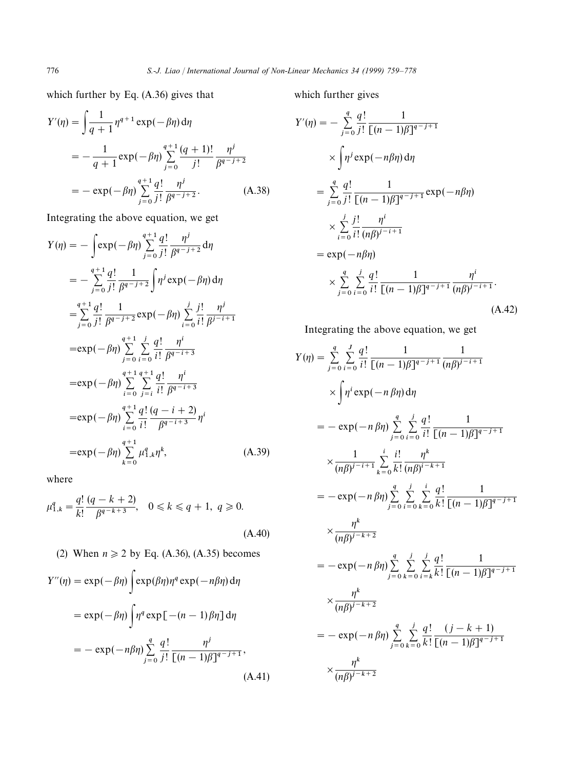which further by Eq. (A.36) gives that

$$
Y'(\eta) = \int \frac{1}{q+1} \eta^{q+1} \exp(-\beta \eta) d\eta
$$
  
= 
$$
-\frac{1}{q+1} \exp(-\beta \eta) \sum_{j=0}^{q+1} \frac{(q+1)!}{j!} \frac{\eta^j}{\beta^{q-j+2}}
$$
  
= 
$$
-\exp(-\beta \eta) \sum_{j=0}^{q+1} \frac{q!}{j!} \frac{\eta^j}{\beta^{q-j+2}}.
$$
 (A.38)

Integrating the above equation, we get

$$
Y(\eta) = -\int \exp(-\beta \eta) \sum_{j=0}^{q+1} \frac{q!}{j!} \frac{\eta^{j}}{\beta^{q-j+2}} d\eta
$$
  
\n
$$
= -\sum_{j=0}^{q+1} \frac{q!}{j!} \frac{1}{\beta^{q-j+2}} \int \eta^{j} \exp(-\beta \eta) d\eta
$$
  
\n
$$
= \sum_{j=0}^{q+1} \frac{q!}{j!} \frac{1}{\beta^{q-j+2}} \exp(-\beta \eta) \sum_{i=0}^{j} \frac{j!}{i!} \frac{\eta^{j}}{\beta^{j-i+1}}
$$
  
\n
$$
= \exp(-\beta \eta) \sum_{j=0}^{q+1} \sum_{i=0}^{j} \frac{q!}{i!} \frac{\eta^{i}}{\beta^{q-i+3}}
$$
  
\n
$$
= \exp(-\beta \eta) \sum_{i=0}^{q+1} \sum_{j=i}^{q+1} \frac{q!}{i!} \frac{\eta^{i}}{\beta^{q-i+3}}
$$
  
\n
$$
= \exp(-\beta \eta) \sum_{i=0}^{q+1} \frac{q!}{i!} \frac{(q-i+2)}{\beta^{q-i+3}} \eta^{i}
$$
  
\n
$$
= \exp(-\beta \eta) \sum_{k=0}^{q+1} \mu_{1,k}^{q} \eta^{k}, \qquad (A.39)
$$

where

$$
\mu_{1,k}^q = \frac{q!}{k!} \frac{(q-k+2)}{\beta^{q-k+3}}, \quad 0 \le k \le q+1, \ q \ge 0.
$$
\n(A.40)

\n(2) When  $n \ge 2$  by Eq. (A.36), (A.35) becomes

$$
Y''(\eta) = \exp(-\beta \eta) \int \exp(\beta \eta) \eta^q \exp(-n\beta \eta) d\eta
$$
  
=  $\exp(-\beta \eta) \int \eta^q \exp[-(n-1)\beta \eta] d\eta$   
=  $-\exp(-n\beta \eta) \sum_{j=0}^q \frac{q!}{j!} \frac{\eta^j}{[(n-1)\beta]^{q-j+1}},$  (A.41)

which further gives

$$
Y'(\eta) = -\sum_{j=0}^{q} \frac{q!}{j!} \frac{1}{[(n-1)\beta]^{q-j+1}}
$$
  
\n
$$
\times \int \eta^{j} \exp(-n\beta\eta) d\eta
$$
  
\n
$$
= \sum_{j=0}^{q} \frac{q!}{j!} \frac{1}{[(n-1)\beta]^{q-j+1}} \exp(-n\beta\eta)
$$
  
\n
$$
\times \sum_{i=0}^{j} \frac{j!}{i!} \frac{\eta^{i}}{(n\beta)^{j-i+1}}
$$
  
\n
$$
= \exp(-n\beta\eta)
$$
  
\n
$$
\times \sum_{j=0}^{q} \sum_{i=0}^{j} \frac{q!}{i!} \frac{1}{[(n-1)\beta]^{q-j+1}} \frac{\eta^{i}}{(n\beta)^{j-i+1}}.
$$
  
\n(A.42)

Integrating the above equation, we get

$$
Y(\eta) = \sum_{j=0}^{q} \sum_{i=0}^{J} \frac{q!}{i!} \frac{1}{[(n-1)\beta]^{q-j+1}} \frac{1}{(n\beta)^{j-i+1}}
$$
  
\n
$$
\times \int \eta^{i} \exp(-n\beta\eta) d\eta
$$
  
\n
$$
= -\exp(-n\beta\eta) \sum_{j=0}^{q} \sum_{i=0}^{j} \frac{q!}{i!} \frac{1}{[(n-1)\beta]^{q-j+1}}
$$
  
\n
$$
\times \frac{1}{(n\beta)^{j-i+1}} \sum_{k=0}^{i} \frac{i!}{k!} \frac{\eta^{k}}{(n\beta)^{i-k+1}}
$$
  
\n
$$
= -\exp(-n\beta\eta) \sum_{j=0}^{q} \sum_{i=0}^{j} \sum_{k=0}^{i} \frac{q!}{k!} \frac{1}{[(n-1)\beta]^{q-j+1}}
$$
  
\n
$$
\times \frac{\eta^{k}}{(n\beta)^{j-k+2}}
$$
  
\n
$$
= -\exp(-n\beta\eta) \sum_{j=0}^{q} \sum_{k=0}^{j} \sum_{i=k}^{j} \frac{q!}{k!} \frac{1}{[(n-1)\beta]^{q-j+1}}
$$
  
\n
$$
\times \frac{\eta^{k}}{(n\beta)^{j-k+2}}
$$
  
\n
$$
= -\exp(-n\beta\eta) \sum_{j=0}^{q} \sum_{k=0}^{j} \frac{q!}{k!} \frac{(j-k+1)}{[(n-1)\beta]^{q-j+1}}
$$
  
\n
$$
\times \frac{\eta^{k}}{(n\beta)^{j-k+2}}
$$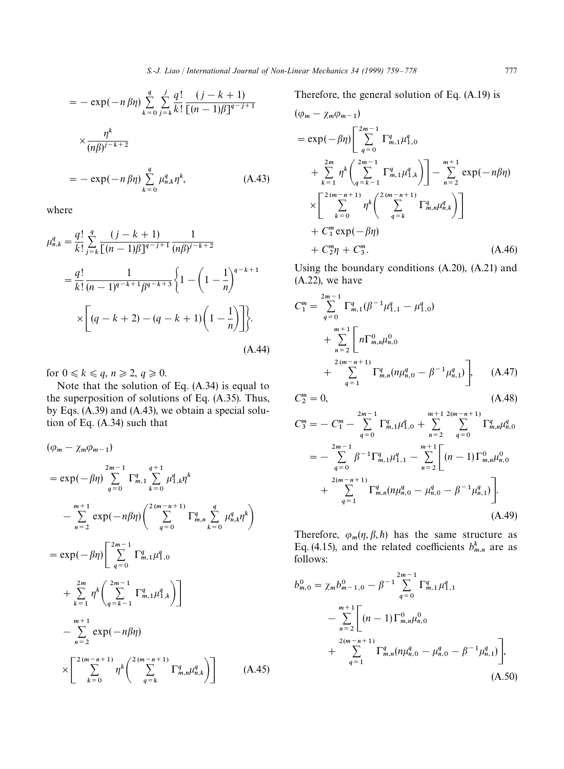$$
= -\exp(-n \beta \eta) \sum_{k=0}^{q} \sum_{j=k}^{j} \frac{q!}{k!} \frac{(j-k+1)}{[(n-1)\beta]^{q-j+1}}
$$
  

$$
\times \frac{\eta^{k}}{(n\beta)^{j-k+2}}
$$
  

$$
= -\exp(-n \beta \eta) \sum_{k=0}^{q} \mu_{n,k}^{q} \eta^{k}, \qquad (A.43)
$$

 $k=0$ 

where

$$
\mu_{n,k}^q = \frac{q!}{k!} \sum_{j=k}^q \frac{(j-k+1)}{[(n-1)\beta]^{q-j+1}} \frac{1}{(n\beta)^{j-k+2}}
$$
  
= 
$$
\frac{q!}{k!} \frac{1}{(n-1)^{q-k+1}\beta^{q-k+3}} \left\{ 1 - \left( 1 - \frac{1}{n} \right)^{q-k+1} \times \left[ (q-k+2) - (q-k+1) \left( 1 - \frac{1}{n} \right) \right] \right\}.
$$
  
(A.44)

for  $0 \le k \le q$ ,  $n \ge 2$ ,  $q \ge 0$ .

Note that the solution of Eq. (A.34) is equal to the superposition of solutions of Eq. (A.35). Thus, by Eqs. (A.39) and (A.43), we obtain a special solution of Eq. (A.34) such that

$$
(\varphi_{m} - \chi_{m}\varphi_{m-1})
$$
  
\n
$$
= \exp(-\beta\eta) \sum_{q=0}^{2m-1} \Gamma_{m,1}^{q} \sum_{k=0}^{q+1} \mu_{1,k}^{q} \eta^{k}
$$
  
\n
$$
- \sum_{n=2}^{m+1} \exp(-n\beta\eta) \left( \sum_{q=0}^{2(m-n+1)} \Gamma_{m,n}^{q} \sum_{k=0}^{q} \mu_{n,k}^{q} \eta^{k} \right)
$$
  
\n
$$
= \exp(-\beta\eta) \left[ \sum_{q=0}^{2m-1} \Gamma_{m,1}^{q} \mu_{1,0}^{q} + \sum_{k=1}^{2m} \eta^{k} \left( \sum_{q=k-1}^{2m-1} \Gamma_{m,1}^{q} \mu_{1,k}^{q} \right) \right]
$$
  
\n
$$
- \sum_{n=2}^{m+1} \exp(-n\beta\eta)
$$
  
\n
$$
\times \left[ \sum_{k=0}^{2(m-n+1)} \eta^{k} \left( \sum_{q=k}^{2(m-n+1)} \Gamma_{m,n}^{q} \mu_{n,k}^{q} \right) \right]
$$
(A.45)

Therefore, the general solution of Eq. (A.19) is

$$
(\varphi_m - \chi_m \varphi_{m-1})
$$
  
=  $\exp(-\beta \eta) \Bigg[ \sum_{q=0}^{2m-1} \Gamma_{m,1}^q \mu_{1,0}^q$   
+  $\sum_{k=1}^{2m} \eta^k \Bigg( \sum_{q=k-1}^{2m-1} \Gamma_{m,1}^q \mu_{1,k}^q \Bigg) \Bigg] - \sum_{n=2}^{m+1} \exp(-n\beta \eta)$   
 $\times \Bigg[ \sum_{k=0}^{2(m-n+1)} \eta^k \Bigg( \sum_{q=k}^{2(m-n+1)} \Gamma_{m,n}^q \mu_{n,k}^q \Bigg) \Bigg]$   
+  $C_1^m \exp(-\beta \eta)$   
+  $C_2^m \eta + C_3^m$ . (A.46)

Using the boundary conditions (A.20), (A.21) and  $(A.22)$ , we have

$$
C_1^m = \sum_{q=0}^{2m-1} \Gamma_{m,1}^q (\beta^{-1} \mu_{1,1}^q - \mu_{1,0}^q)
$$
  
+ 
$$
\sum_{n=2}^{m+1} \left[ n \Gamma_{m,n}^0 \mu_{n,0}^0 - \beta^{-1} \mu_{n,1}^q \right]
$$
  
+ 
$$
\sum_{q=1}^{2(m-n+1)} \Gamma_{m,n}^q (n \mu_{n,0}^q - \beta^{-1} \mu_{n,1}^q), \qquad (A.47)
$$
  

$$
C_2^m = 0, \qquad (A.48)
$$

$$
C_2^m=0,
$$

$$
C_3^m = -C_1^m - \sum_{q=0}^{2m-1} \Gamma_{m,1}^q \mu_{1,0}^q + \sum_{n=2}^{m+1} \sum_{q=0}^{2(m-n+1)} \Gamma_{m,n}^q \mu_{n,0}^q
$$
  
= 
$$
- \sum_{q=0}^{2m-1} \beta^{-1} \Gamma_{m,1}^q \mu_{1,1}^q - \sum_{n=2}^{m+1} \left[ (n-1) \Gamma_{m,n}^0 \mu_{n,0}^0 + \sum_{q=1}^{2(m-n+1)} \Gamma_{m,n}^q (n \mu_{n,0}^q - \mu_{n,0}^q - \beta^{-1} \mu_{n,1}^q) \right].
$$
  
(A.49)

Therefore,  $\varphi_m(\eta, \beta, \hbar)$  has the same structure as Eq. (4.15), and the related coefficients  $b_{m,n}^k$  are as follows:

$$
b_{m,0}^{0} = \chi_m b_{m-1,0}^{0} - \beta^{-1} \sum_{q=0}^{2m-1} \Gamma_{m,1}^{q} \mu_{1,1}^{q}
$$
  

$$
- \sum_{n=2}^{m+1} \left[ (n-1) \Gamma_{m,n}^{0} \mu_{n,0}^{0} + \sum_{q=1}^{2(m-n+1)} \Gamma_{m,n}^{q} (n \mu_{n,0}^{q} - \mu_{n,0}^{q} - \beta^{-1} \mu_{n,1}^{q}) \right],
$$
  
(A.50)